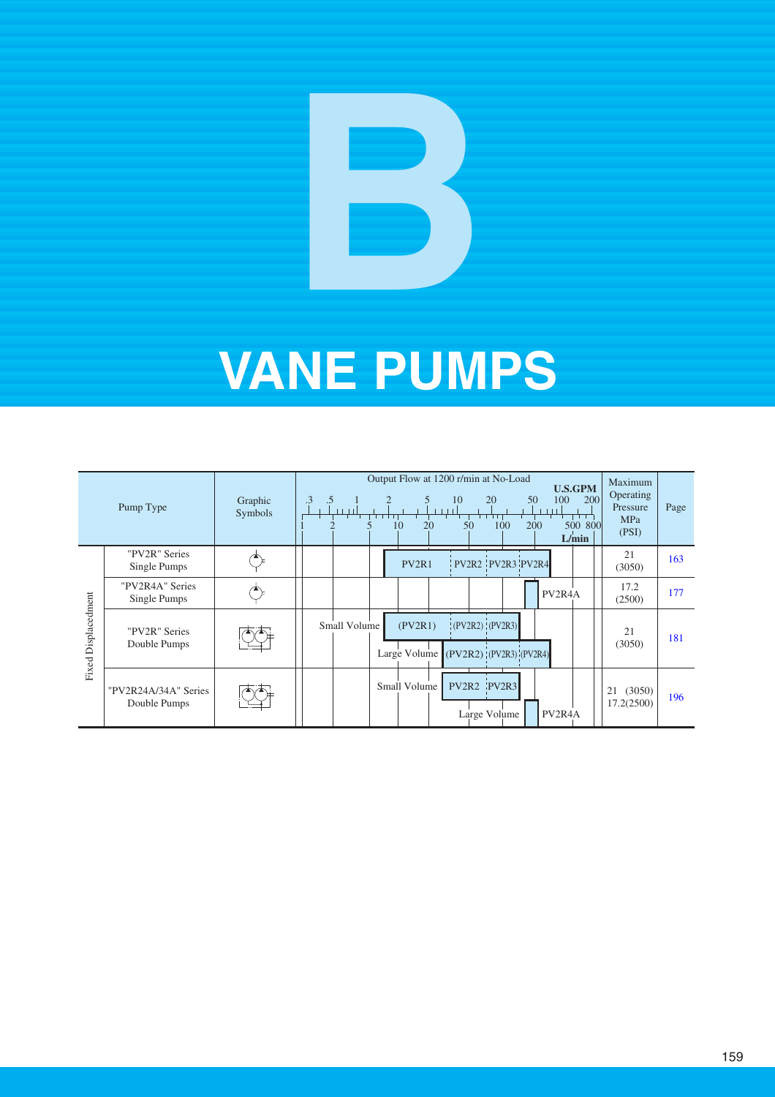|                     | Pump Type                            | Graphic<br>Symbols | Output Flow at 1200 r/min at No-Load<br><b>U.S.GPM</b><br>.3<br>50<br>100<br>200<br>10<br>20<br>.5<br>-111<br>$\perp$<br>50<br>20<br>100<br>200<br>500 800<br>10<br>L/min | Maximum<br>Operating<br>Pressure<br><b>MPa</b><br>(PSI) | Page |
|---------------------|--------------------------------------|--------------------|---------------------------------------------------------------------------------------------------------------------------------------------------------------------------|---------------------------------------------------------|------|
|                     | "PV2R" Series<br>Single Pumps        |                    | $PV2R2$ $PV2R3$ $PV2R4$<br>PV <sub>2R1</sub>                                                                                                                              | 21<br>(3050)                                            | 163  |
|                     | "PV2R4A" Series<br>Single Pumps      |                    | PV <sub>2</sub> R <sub>4</sub> A                                                                                                                                          | 17.2<br>(2500)                                          | 177  |
| Fixed Displacedment | "PV2R" Series<br>Double Pumps        |                    | (PV2R2) (PV2R3) <br>(PV2R1)<br>Small Volume<br>Large Volume (PV2R2) (PV2R3) (PV2R4)                                                                                       | 21<br>(3050)                                            | 181  |
|                     | "PV2R24A/34A" Series<br>Double Pumps |                    | PV2R2 PV2R3<br>Small Volume<br>Large Volume<br>PV <sub>2</sub> R <sub>4</sub> A                                                                                           | (3050)<br>21<br>17.2(2500)                              | 196  |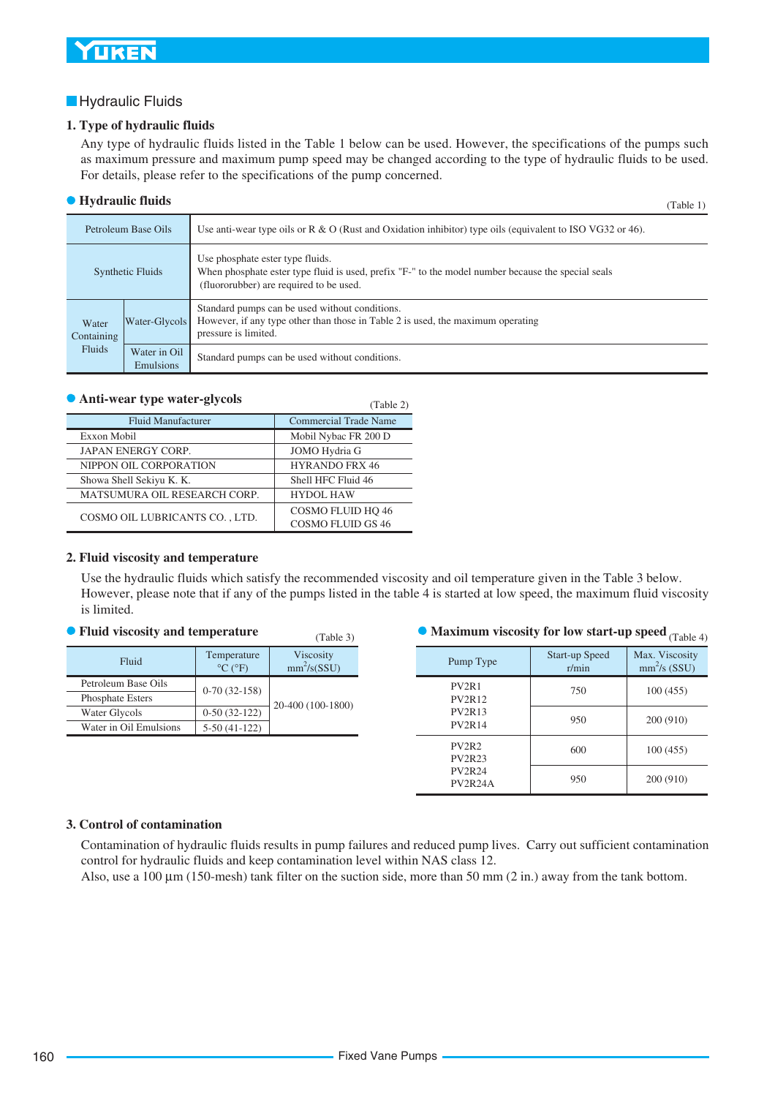#### <span id="page-1-0"></span>**Hydraulic Fluids**

#### **1. Type of hydraulic fluids**

Any type of hydraulic fluids listed in the Table 1 below can be used. However, the specifications of the pumps such as maximum pressure and maximum pump speed may be changed according to the type of hydraulic fluids to be used. For details, please refer to the specifications of the pump concerned.

#### **• Hydraulic fluids** (Table 1)

|                     |                           | 110101                                                                                                                                                                            |
|---------------------|---------------------------|-----------------------------------------------------------------------------------------------------------------------------------------------------------------------------------|
|                     | Petroleum Base Oils       | Use anti-wear type oils or R $\&$ O (Rust and Oxidation inhibitor) type oils (equivalent to ISO VG32 or 46).                                                                      |
| Synthetic Fluids    |                           | Use phosphate ester type fluids.<br>When phosphate ester type fluid is used, prefix "F-" to the model number because the special seals<br>(fluororubber) are required to be used. |
| Water<br>Containing | Water-Glycols             | Standard pumps can be used without conditions.<br>However, if any type other than those in Table 2 is used, the maximum operating<br>pressure is limited.                         |
| Fluids              | Water in Oil<br>Emulsions | Standard pumps can be used without conditions.                                                                                                                                    |

 $(T<sub>ab</sub>|<sub>e</sub> 2)$ 

#### **Anti-wear type water-glycols**

|                                | $1 \omega U + U + U$         |
|--------------------------------|------------------------------|
| <b>Fluid Manufacturer</b>      | <b>Commercial Trade Name</b> |
| Exxon Mobil                    | Mobil Nybac FR 200 D         |
| <b>JAPAN ENERGY CORP.</b>      | JOMO Hydria G                |
| NIPPON OIL CORPORATION         | <b>HYRANDO FRX 46</b>        |
| Showa Shell Sekiyu K. K.       | Shell HFC Fluid 46           |
| MATSUMURA OIL RESEARCH CORP.   | <b>HYDOL HAW</b>             |
| COSMO OIL LUBRICANTS CO., LTD. | COSMO FLUID HO 46            |
|                                | <b>COSMO FLUID GS 46</b>     |

#### **2. Fluid viscosity and temperature**

Use the hydraulic fluids which satisfy the recommended viscosity and oil temperature given in the Table 3 below. However, please note that if any of the pumps listed in the table 4 is started at low speed, the maximum fluid viscosity is limited.

| Fluid                  | Temperature<br>$\rm ^{\circ}C$ ( $\rm ^{\circ}F$ ) | Viscosity<br>mm <sup>2</sup> /s(SSU) |  |  |
|------------------------|----------------------------------------------------|--------------------------------------|--|--|
| Petroleum Base Oils    | $0-70(32-158)$                                     |                                      |  |  |
| Phosphate Esters       |                                                    | 20-400 (100-1800)                    |  |  |
| Water Glycols          | $0-50(32-122)$                                     |                                      |  |  |
| Water in Oil Emulsions | $5-50(41-122)$                                     |                                      |  |  |

#### **• Fluid viscosity and temperature** (Table 3) **Maximum viscosity for low start-up speed** (Table 4)

|                                                    |                         | 11001011                        |
|----------------------------------------------------|-------------------------|---------------------------------|
| Pump Type                                          | Start-up Speed<br>r/min | Max. Viscosity<br>$mm2/s$ (SSU) |
| PV <sub>2R1</sub><br><b>PV2R12</b>                 | 750                     | 100(455)                        |
| <b>PV2R13</b><br><b>PV2R14</b>                     | 950                     | 200 (910)                       |
| PV <sub>2</sub> R <sub>2</sub><br><b>PV2R23</b>    | 600                     | 100(455)                        |
| <b>PV2R24</b><br>PV <sub>2</sub> R <sub>24</sub> A | 950                     | 200 (910)                       |

#### **3. Control of contamination**

Contamination of hydraulic fluids results in pump failures and reduced pump lives. Carry out sufficient contamination control for hydraulic fluids and keep contamination level within NAS class 12.

Also, use a 100  $\mu$ m (150-mesh) tank filter on the suction side, more than 50 mm (2 in.) away from the tank bottom.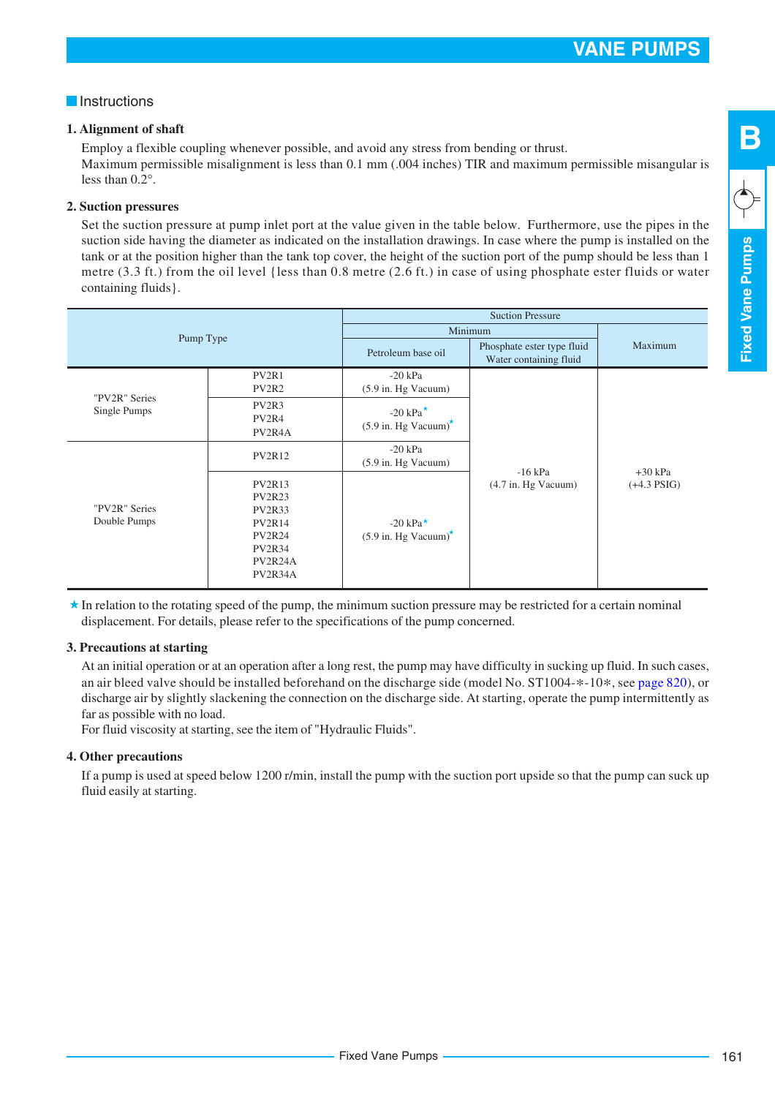**Fixed Vane Pumps**

**Fixed Vane Pumps** 

**B**

#### **Instructions**

#### **1. Alignment of shaft**

Employ a flexible coupling whenever possible, and avoid any stress from bending or thrust. Maximum permissible misalignment is less than 0.1 mm (.004 inches) TIR and maximum permissible misangular is less than 0.2°.

#### **2. Suction pressures**

Set the suction pressure at pump inlet port at the value given in the table below. Furthermore, use the pipes in the suction side having the diameter as indicated on the installation drawings. In case where the pump is installed on the tank or at the position higher than the tank top cover, the height of the suction port of the pump should be less than 1 metre (3.3 ft.) from the oil level {less than 0.8 metre (2.6 ft.) in case of using phosphate ester fluids or water containing fluids}.

|                               |                                                                                                                          | <b>Suction Pressure</b>                                                          |                                                      |               |  |
|-------------------------------|--------------------------------------------------------------------------------------------------------------------------|----------------------------------------------------------------------------------|------------------------------------------------------|---------------|--|
| Pump Type                     |                                                                                                                          |                                                                                  | Minimum                                              |               |  |
|                               |                                                                                                                          | Petroleum base oil                                                               | Phosphate ester type fluid<br>Water containing fluid | Maximum       |  |
|                               | PV <sub>2R1</sub><br>PV <sub>2</sub> R <sub>2</sub>                                                                      | $-20$ kPa<br>$(5.9 \text{ in. Hg Vacuum})$                                       |                                                      |               |  |
| "PV2R" Series<br>Single Pumps | PV2R3<br>PV2R4<br>PV <sub>2</sub> R <sub>4</sub> A                                                                       | $-20$ kPa <sup><math>\star</math></sup><br>$(5.9 \text{ in. Hg Vacuum})^{\star}$ |                                                      |               |  |
|                               | <b>PV2R12</b>                                                                                                            | $-20$ kPa<br>$(5.9 \text{ in. Hg Vacuum})$                                       | $-16$ kPa                                            | $+30$ kPa     |  |
| "PV2R" Series<br>Double Pumps | <b>PV2R13</b><br><b>PV2R23</b><br><b>PV2R33</b><br><b>PV2R14</b><br><b>PV2R24</b><br><b>PV2R34</b><br>PV2R24A<br>PV2R34A | $-20 \text{ kPa}^{\star}$<br>$(5.9 \text{ in. Hg Vacuum})^{\star}$               | $(4.7 \text{ in. Hg Vacuum})$                        | $(+4.3$ PSIG) |  |

 $\star$  In relation to the rotating speed of the pump, the minimum suction pressure may be restricted for a certain nominal displacement. For details, please refer to the specifications of the pump concerned.

#### **3. Precautions at starting**

At an initial operation or at an operation after a long rest, the pump may have difficulty in sucking up fluid. In such cases, an air bleed valve should be installed beforehand on the discharge side (model No. ST1004-\*-10\*, see page 820), or discharge air by slightly slackening the connection on the discharge side. At starting, operate the pump intermittently as far as possible with no load.

For fluid viscosity at starting, see the item of "Hydraulic Fluids".

#### **4. Other precautions**

If a pump is used at speed below 1200 r/min, install the pump with the suction port upside so that the pump can suck up fluid easily at starting.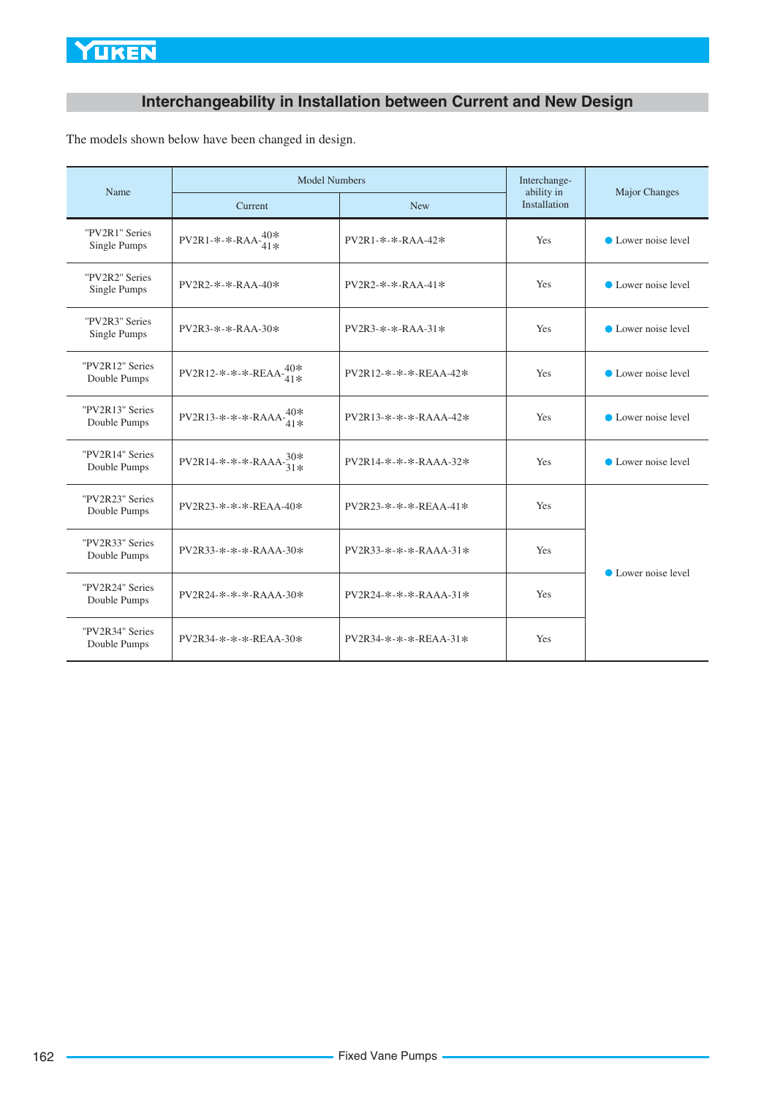# **Interchangeability in Installation between Current and New Design**

The models shown below have been changed in design.

| Name                            | <b>Model Numbers</b>              | Interchange-<br>ability in  | <b>Major Changes</b> |                     |  |
|---------------------------------|-----------------------------------|-----------------------------|----------------------|---------------------|--|
|                                 | Current                           | <b>New</b>                  | Installation         |                     |  |
| "PV2R1" Series<br>Single Pumps  | PV2R1-*-*-RAA- $^{40*}_{41*}$     | PV2R1-*-*-RAA-42*           | Yes                  | • Lower noise level |  |
| "PV2R2" Series<br>Single Pumps  | $PV2R2-*- RAA-40*$                | $PV2R2 - * - * - RAA - 41*$ | Yes                  | • Lower noise level |  |
| "PV2R3" Series<br>Single Pumps  | PV2R3-*-*-RAA-30*                 | $PV2R3-**RAA-31*$           | Yes                  | • Lower noise level |  |
| "PV2R12" Series<br>Double Pumps | PV2R12-*-*-*-REAA- $^{40*}_{41*}$ | PV2R12-*-*-*-REAA-42*       | Yes                  | • Lower noise level |  |
| "PV2R13" Series<br>Double Pumps | $PV2R13-*-*-RAAA-40*$<br>้41 *    | PV2R13-*-*-*-RAAA-42*       | Yes                  | • Lower noise level |  |
| "PV2R14" Series<br>Double Pumps | PV2R14-*-*-*-RAAA- $^{30*}_{31*}$ | PV2R14-*-*-*-RAAA-32*       | Yes                  | • Lower noise level |  |
| "PV2R23" Series<br>Double Pumps | $PV2R23-*.*.*-FERA40*$            | PV2R23-*-*-*-REAA-41*       | <b>Yes</b>           |                     |  |
| "PV2R33" Series<br>Double Pumps | $PV2R33-*-*-*-RAAAA-30*$          | $PV2R33-x-x-x-RAAA-31*$     | Yes                  |                     |  |
| "PV2R24" Series<br>Double Pumps | PV2R24-*-*-*-RAAA-30*             | $PV2R24-*-*-*-RAAAA-31*$    | <b>Yes</b>           | • Lower noise level |  |
| "PV2R34" Series<br>Double Pumps | $PV2R34-x-x-REAA-30*$             | $PV2R34-x-x-REAA-31*$       | Yes                  |                     |  |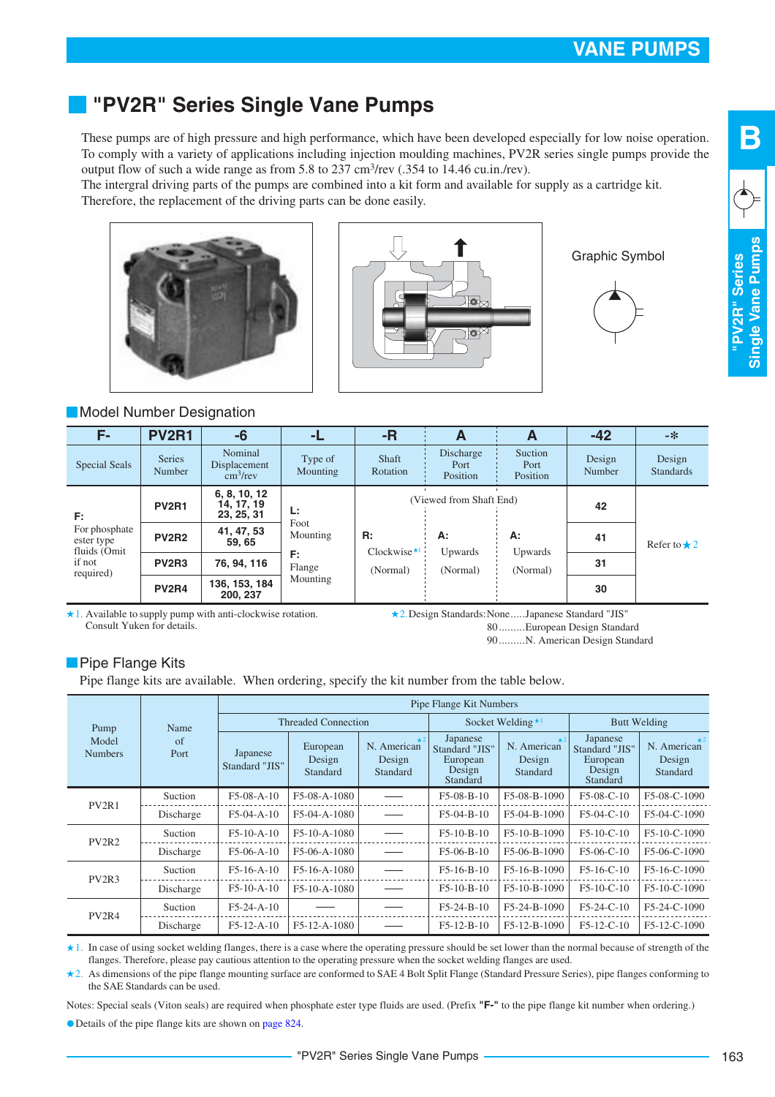# <span id="page-4-0"></span>**"PV2R" Series Single Vane Pumps**

These pumps are of high pressure and high performance, which have been developed especially for low noise operation. To comply with a variety of applications including injection moulding machines, PV2R series single pumps provide the output flow of such a wide range as from 5.8 to 237 cm<sup>3</sup>/rev (.354 to 14.46 cu.in./rev).

The intergral driving parts of the pumps are combined into a kit form and available for supply as a cartridge kit. Therefore, the replacement of the driving parts can be done easily.





Graphic Symbol



**B**

#### **Model Number Designation**

| F-                                          | <b>PV2R1</b>                                  | -6                                               | -L                  | $-R$                                 | A                             | A                           | $-42$            | -米                         |
|---------------------------------------------|-----------------------------------------------|--------------------------------------------------|---------------------|--------------------------------------|-------------------------------|-----------------------------|------------------|----------------------------|
| <b>Special Seals</b>                        | <b>Series</b><br>Number                       | Nominal<br>Displacement<br>$\rm \dot{cm}^3$ /rev | Type of<br>Mounting | Shaft<br>Rotation                    | Discharge<br>Port<br>Position | Suction<br>Port<br>Position | Design<br>Number | Design<br><b>Standards</b> |
| E:                                          | <b>PV2R1</b>                                  | 6, 8, 10, 12<br>14, 17, 19<br>23, 25, 31         | Ŀ.                  | (Viewed from Shaft End)              |                               |                             | 42               |                            |
| For phosphate<br>ester type<br>fluids (Omit | <b>PV2R2</b>                                  | 41, 47, 53<br>59, 65                             | Foot<br>Mounting    | R:<br>Clockwise $\star$ <sup>1</sup> | А:<br>Upwards                 | А:<br>Upwards               | 41               | Refer to $\star$ 2         |
| if not<br>required)                         | PV <sub>2</sub> R <sub>3</sub><br>76, 94, 116 | F:<br>Flange                                     | (Normal)            | (Normal)                             | (Normal)                      | 31                          |                  |                            |
|                                             | <b>PV2R4</b>                                  | 136, 153, 184<br>200.237                         | Mounting            |                                      |                               |                             | 30               |                            |

 $\star$  1. Available to supply pump with anti-clockwise rotation. Consult Yuken for details.

2.Design Standards:None.....Japanese Standard "JIS"

80 .... ..... European Design Standard

90 .... ..... N. American Design Standard

#### **Pipe Flange Kits**

Pipe flange kits are available. When ordering, specify the kit number from the table below.

|                                |            | Pipe Flange Kit Numbers    |                                |                                   |                                                              |                                   |                                                              |                                   |  |
|--------------------------------|------------|----------------------------|--------------------------------|-----------------------------------|--------------------------------------------------------------|-----------------------------------|--------------------------------------------------------------|-----------------------------------|--|
| Pump                           | Name       | <b>Threaded Connection</b> |                                |                                   | Socket Welding $\star$ <sup>1</sup>                          |                                   | <b>Butt Welding</b>                                          |                                   |  |
| Model<br><b>Numbers</b>        | of<br>Port | Japanese<br>Standard "JIS" | European<br>Design<br>Standard | N. American<br>Design<br>Standard | Japanese<br>Standard "JIS"<br>European<br>Design<br>Standard | N. American<br>Design<br>Standard | Japanese<br>Standard "JIS"<br>European<br>Design<br>Standard | N. American<br>Design<br>Standard |  |
| PV <sub>2R1</sub>              | Suction    | $F5-08-A-10$               | F5-08-A-1080                   |                                   | $F5-08-B-10$                                                 | F5-08-B-1090                      | $F5-08-C-10$                                                 | F5-08-C-1090                      |  |
|                                | Discharge  | $F5-04-A-10$               | F5-04-A-1080                   |                                   | $F5-04-B-10$                                                 | F5-04-B-1090                      | $F5-04-C-10$                                                 | F5-04-C-1090                      |  |
| PV <sub>2</sub> R <sub>2</sub> | Suction    | $F5-10-A-10$               | F5-10-A-1080                   |                                   | $F5-10-B-10$                                                 | F5-10-B-1090                      | $F5-10-C-10$                                                 | F5-10-C-1090                      |  |
|                                | Discharge  | $F5-06-A-10$               | F5-06-A-1080                   |                                   | $F5-06-B-10$                                                 | F5-06-B-1090                      | $F5-06-C-10$                                                 | F5-06-C-1090                      |  |
| PV <sub>2</sub> R <sub>3</sub> | Suction    | $F5-16-A-10$               | F5-16-A-1080                   |                                   | $F5-16-B-10$                                                 | F5-16-B-1090                      | $F5-16-C-10$                                                 | F5-16-C-1090                      |  |
|                                | Discharge  | $F5-10-A-10$               | F5-10-A-1080                   |                                   | $F5-10-B-10$                                                 | F5-10-B-1090                      | $F5-10-C-10$                                                 | F5-10-C-1090                      |  |
| PV <sub>2</sub> R <sub>4</sub> | Suction    | $F5-24-A-10$               |                                |                                   | $F5-24-B-10$                                                 | $F5-24-B-1090$                    | $F5-24-C-10$                                                 | F5-24-C-1090                      |  |
|                                | Discharge  | $F5-12-A-10$               | F5-12-A-1080                   |                                   | $F5-12-B-10$                                                 | F5-12-B-1090                      | $F5-12-C-10$                                                 | F5-12-C-1090                      |  |

In case of using socket welding flanges, there is a case where the operating pressure should be set lower than the normal because of strength of the 1. flanges. Therefore, please pay cautious attention to the operating pressure when the socket welding flanges are used.

2. As dimensions of the pipe flange mounting surface are conformed to SAE 4 Bolt Split Flange (Standard Pressure Series), pipe flanges conforming to the SAE Standards can be used.

Notes: Special seals (Viton seals) are required when phosphate ester type fluids are used. (Prefix **"F-"** to the pipe flange kit number when ordering.)

Details of the pipe flange kits are shown on page 824.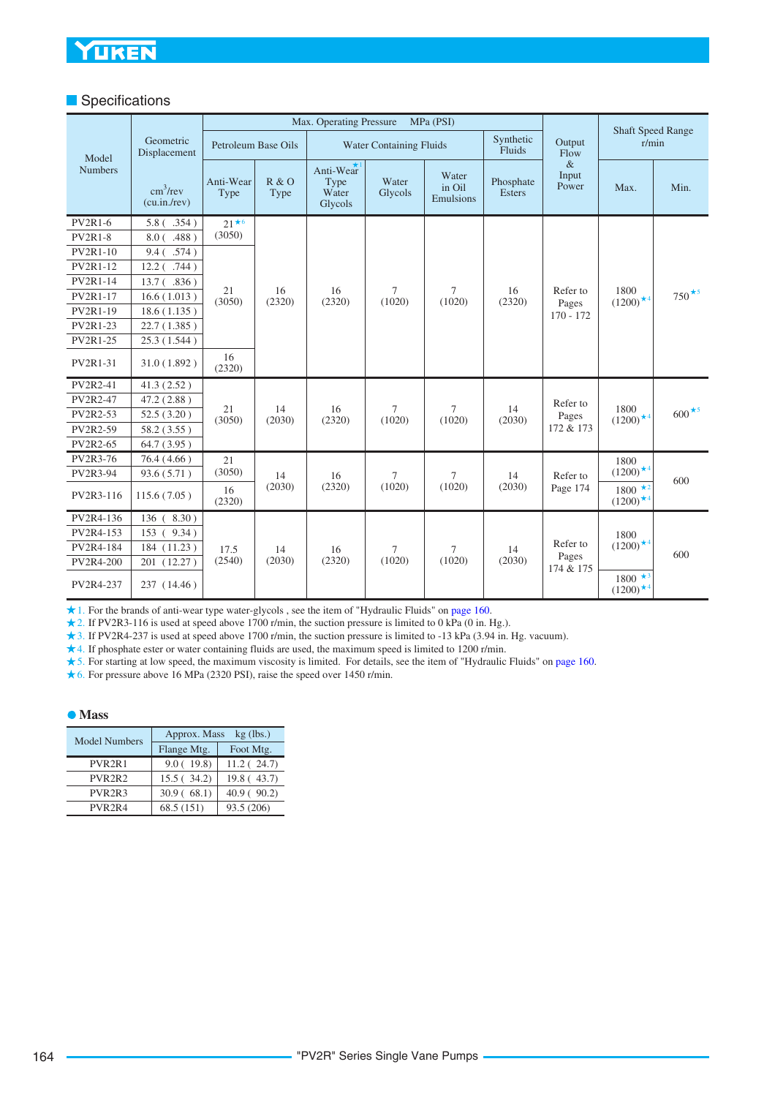#### **Specifications**

|                 |                                          | Max. Operating Pressure<br>MPa (PSI) |               |                                       |                  |                              |                            | <b>Shaft Speed Range</b> |                                          |                          |
|-----------------|------------------------------------------|--------------------------------------|---------------|---------------------------------------|------------------|------------------------------|----------------------------|--------------------------|------------------------------------------|--------------------------|
| Model           | Geometric<br>Displacement                | Petroleum Base Oils                  |               | <b>Water Containing Fluids</b>        |                  |                              | Synthetic<br>Fluids        | Output<br>Flow           | r/min                                    |                          |
| <b>Numbers</b>  | $\text{cm}^3/\text{rev}$<br>(cu.in./rev) | Anti-Wear<br>Type                    | R & O<br>Type | Anti-Wear<br>Type<br>Water<br>Glycols | Water<br>Glycols | Water<br>in Oil<br>Emulsions | Phosphate<br><b>Esters</b> | $\&$<br>Input<br>Power   | Max.                                     | Min.                     |
| <b>PV2R1-6</b>  | $5.8$ ( $.354$ )                         | $21 \star 6$                         |               |                                       |                  |                              |                            |                          |                                          |                          |
| <b>PV2R1-8</b>  | 8.0( .488)                               | (3050)                               |               |                                       |                  |                              |                            |                          |                                          |                          |
| <b>PV2R1-10</b> | $9.4$ (.574)                             |                                      |               |                                       |                  |                              |                            |                          |                                          |                          |
| <b>PV2R1-12</b> | $12.2$ (.744)                            |                                      |               |                                       |                  |                              |                            |                          |                                          |                          |
| PV2R1-14        | $13.7$ ( $.836$ )                        |                                      |               |                                       |                  |                              |                            |                          |                                          |                          |
| <b>PV2R1-17</b> | 16.6(1.013)                              | 21<br>(3050)                         | 16<br>(2320)  | 16<br>(2320)                          | $\tau$<br>(1020) | $\tau$<br>(1020)             | 16<br>(2320)               | Refer to<br>Pages        | 1800<br>$(1200)$ <sup>*4</sup>           | 750 $\star$ <sup>5</sup> |
| PV2R1-19        | 18.6(1.135)                              |                                      |               |                                       |                  |                              |                            | $170 - 172$              |                                          |                          |
| <b>PV2R1-23</b> | 22.7 (1.385)                             |                                      |               |                                       |                  |                              |                            |                          |                                          |                          |
| PV2R1-25        | 25.3 (1.544)                             |                                      |               |                                       |                  |                              |                            |                          |                                          |                          |
| <b>PV2R1-31</b> | 31.0(1.892)                              | 16<br>(2320)                         |               |                                       |                  |                              |                            |                          |                                          |                          |
| <b>PV2R2-41</b> | 41.3(2.52)                               |                                      |               |                                       |                  |                              |                            |                          |                                          |                          |
| <b>PV2R2-47</b> | 47.2 (2.88)                              |                                      |               |                                       |                  |                              |                            | Refer to                 |                                          |                          |
| PV2R2-53        | 52.5(3.20)                               | 21<br>(3050)                         |               | 14<br>16<br>(2030)<br>(2320)          | $\tau$<br>(1020) | $\tau$<br>(1020)             | 14<br>(2030)               | Pages<br>172 & 173       | 1800<br>$(1200)$ <sup>*4</sup>           | $600 \star 5$            |
| PV2R2-59        | 58.2 (3.55)                              |                                      |               |                                       |                  |                              |                            |                          |                                          |                          |
| PV2R2-65        | 64.7 (3.95)                              |                                      |               |                                       |                  |                              |                            |                          |                                          |                          |
| <b>PV2R3-76</b> | 76.4(4.66)                               | 21                                   |               |                                       |                  |                              |                            |                          | 1800                                     |                          |
| PV2R3-94        | 93.6 (5.71)                              | (3050)                               | 14            | 16                                    | 7                | 7                            | 14                         | Refer to                 | $(1200)$ <sup>*4</sup>                   | 600                      |
| PV2R3-116       | 115.6(7.05)                              | 16<br>(2320)                         | (2030)        | (2320)                                | (1020)           | (1020)                       | (2030)                     | Page 174                 | $1800 \star^2$<br>$(1200)$ <sup>*4</sup> |                          |
| PV2R4-136       | 136(8.30)                                |                                      |               |                                       |                  |                              |                            |                          |                                          |                          |
| PV2R4-153       | 153 ( 9.34)                              | 17.5                                 |               |                                       |                  |                              |                            |                          | 1800                                     |                          |
| PV2R4-184       | 184 (11.23)                              |                                      | 14            | 16                                    | 7                | 7                            | 14                         | Refer to                 | $(1200)$ <sup>*4</sup>                   | 600                      |
| PV2R4-200       | 201 (12.27)                              | (2540)                               | (2030)        | (2320)                                | (1020)           | (1020)                       | (2030)                     | Pages<br>174 & 175       |                                          |                          |
| PV2R4-237       | 237 (14.46)                              |                                      |               |                                       |                  |                              |                            |                          | $1800 \star 3$<br>$(1200)^{*4}$          |                          |

1. For the brands of anti-wear type water-glycols , see the item of "Hydraulic Fluids" on [page 160.](#page-1-0)

2. If PV2R3-116 is used at speed above 1700 r/min, the suction pressure is limited to 0 kPa (0 in. Hg.).

3. If PV2R4-237 is used at speed above 1700 r/min, the suction pressure is limited to -13 kPa (3.94 in. Hg. vacuum).

4. If phosphate ester or water containing fluids are used, the maximum speed is limited to 1200 r/min.

5. For starting at low speed, the maximum viscosity is limited. For details, see the item of "Hydraulic Fluids" on [page 160](#page-1-0).

6. For pressure above 16 MPa (2320 PSI), raise the speed over 1450 r/min.

#### **Mass**

| <b>Model Numbers</b>            | Approx. Mass<br>$kg$ (lbs.) |            |  |  |
|---------------------------------|-----------------------------|------------|--|--|
|                                 | Flange Mtg.                 | Foot Mtg.  |  |  |
| PVR <sub>2</sub> R <sub>1</sub> | 9.0(19.8)                   | 11.2(24.7) |  |  |
| PVR <sub>2</sub> R <sub>2</sub> | 15.5(34.2)                  | 19.8(43.7) |  |  |
| PVR <sub>2</sub> R <sub>3</sub> | 30.9(68.1)                  | 40.9(90.2) |  |  |
| PVR <sub>2</sub> R <sub>4</sub> | 68.5 (151)                  | 93.5 (206) |  |  |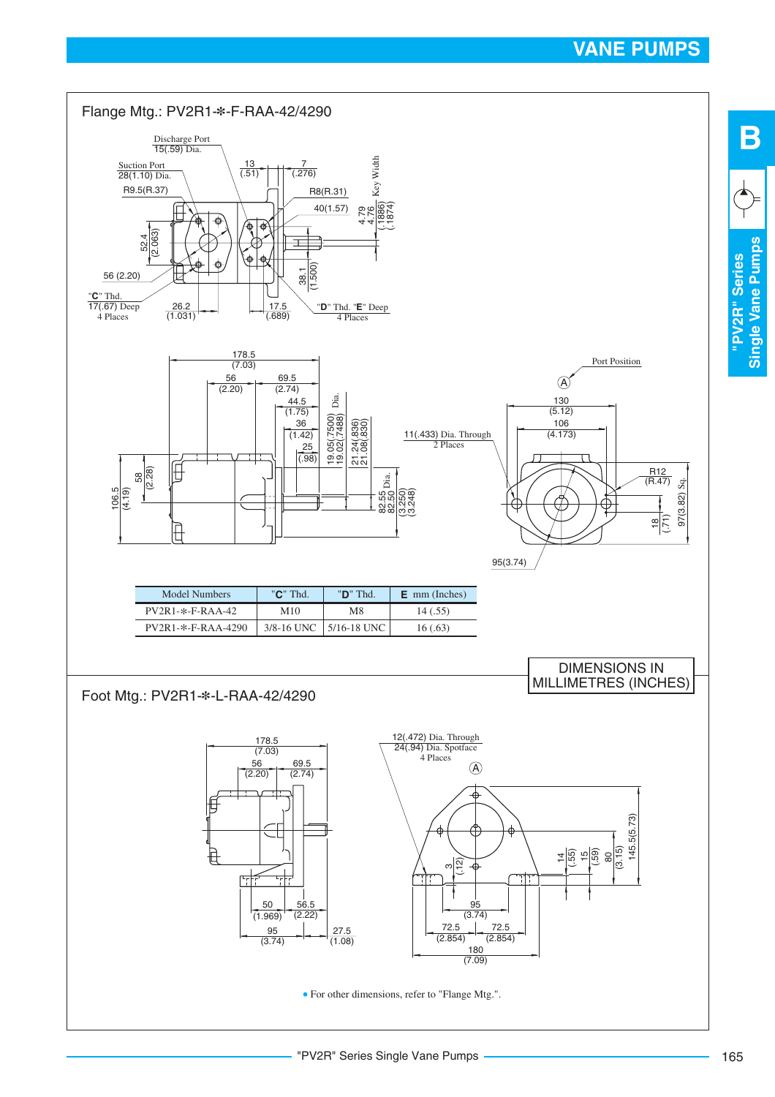**"PV2R" Series Single Vane Pumps**

"PV2R" Series

Single Vane Pumps

**B**

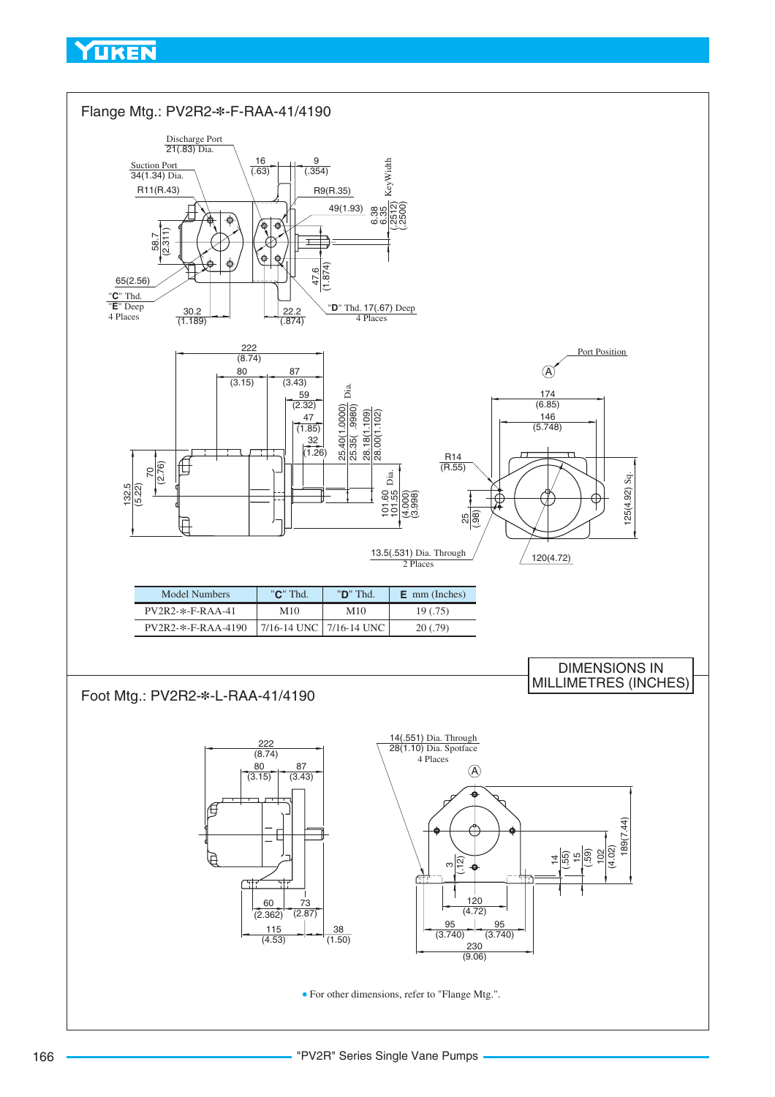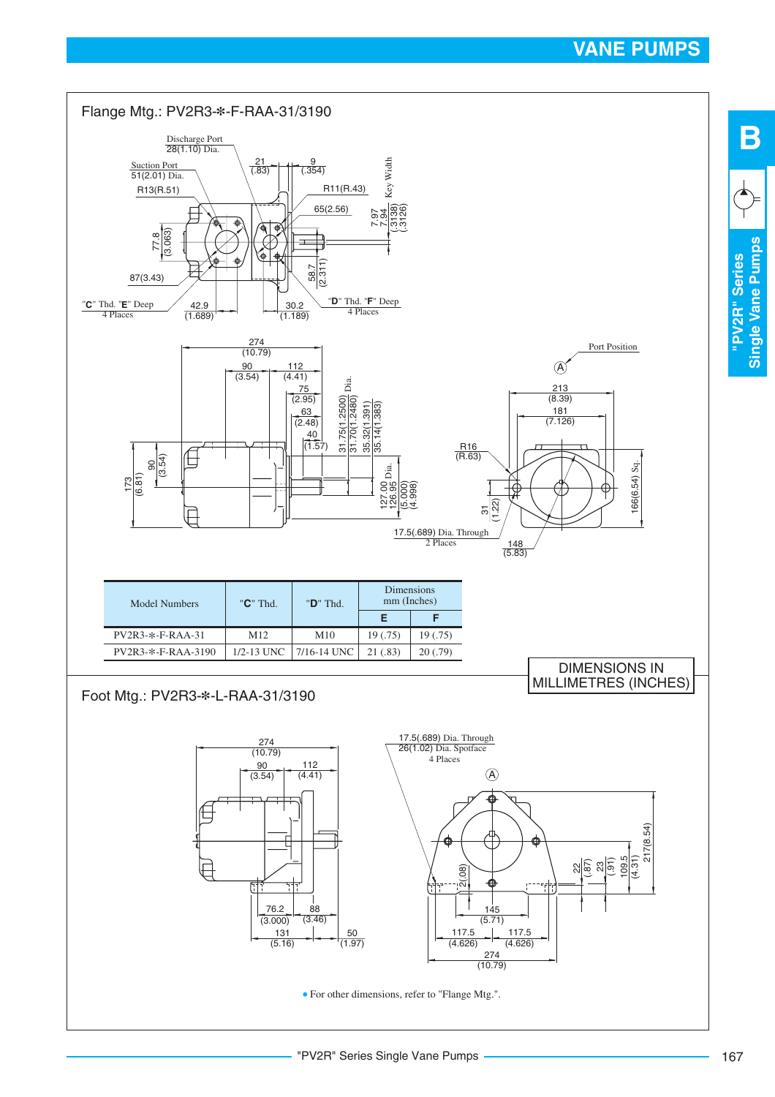**"PV2R" Series Single Vane Pumps**

"PV2R" Series

Single Vane Pumps

**B**

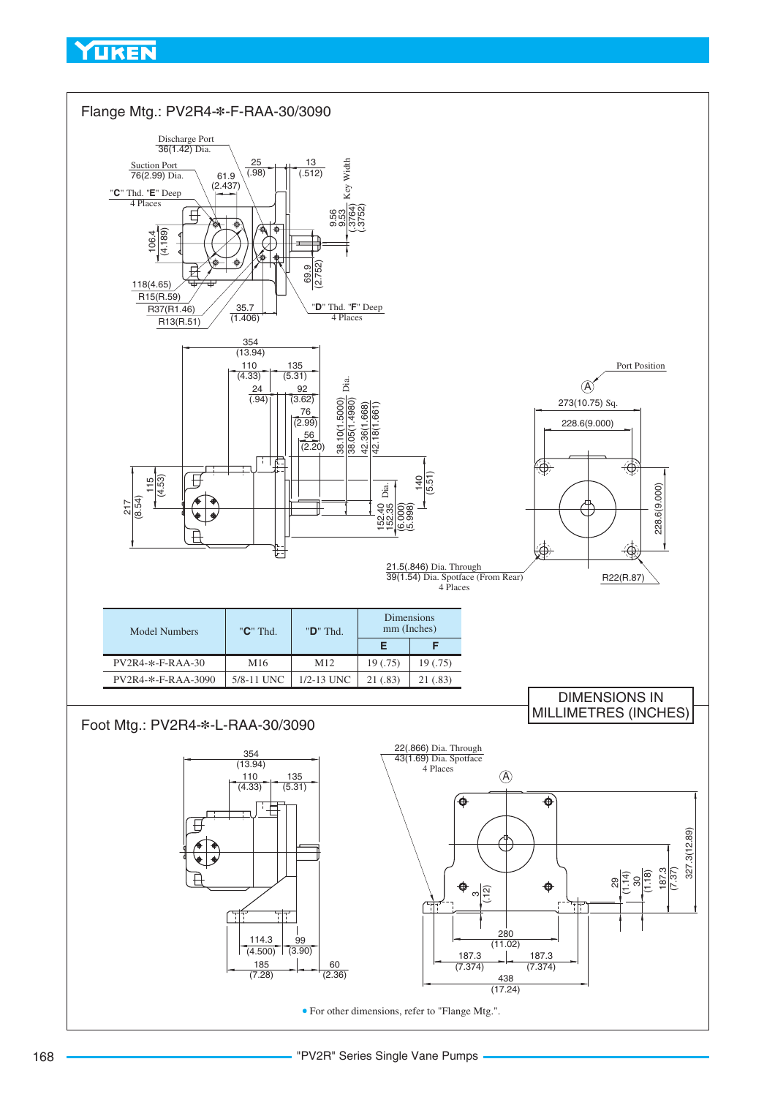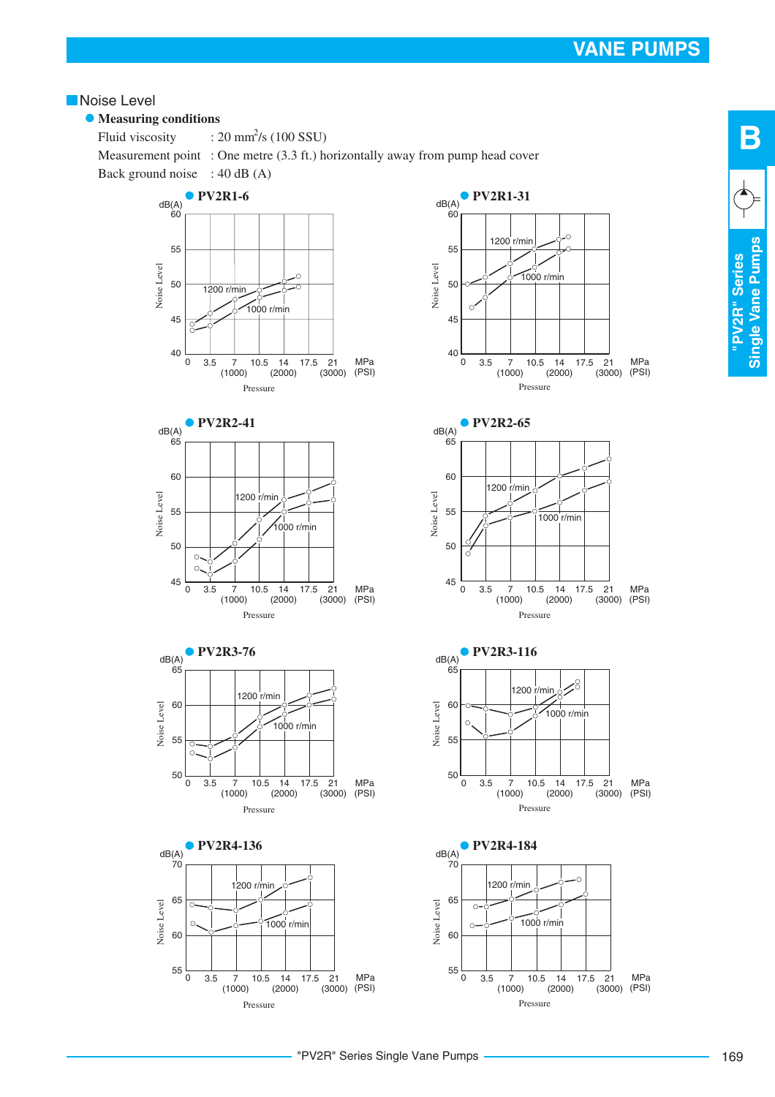#### **Noise Level**

#### **• Measuring conditions**

Fluid viscosity Measurement point : One metre (3.3 ft.) horizontally away from pump head cover Back ground noise : 40 dB (A)  $: 20 \text{ mm}^2\text{/s} (100 \text{ SSU})$ 





Pressure

 $(3000)$ 









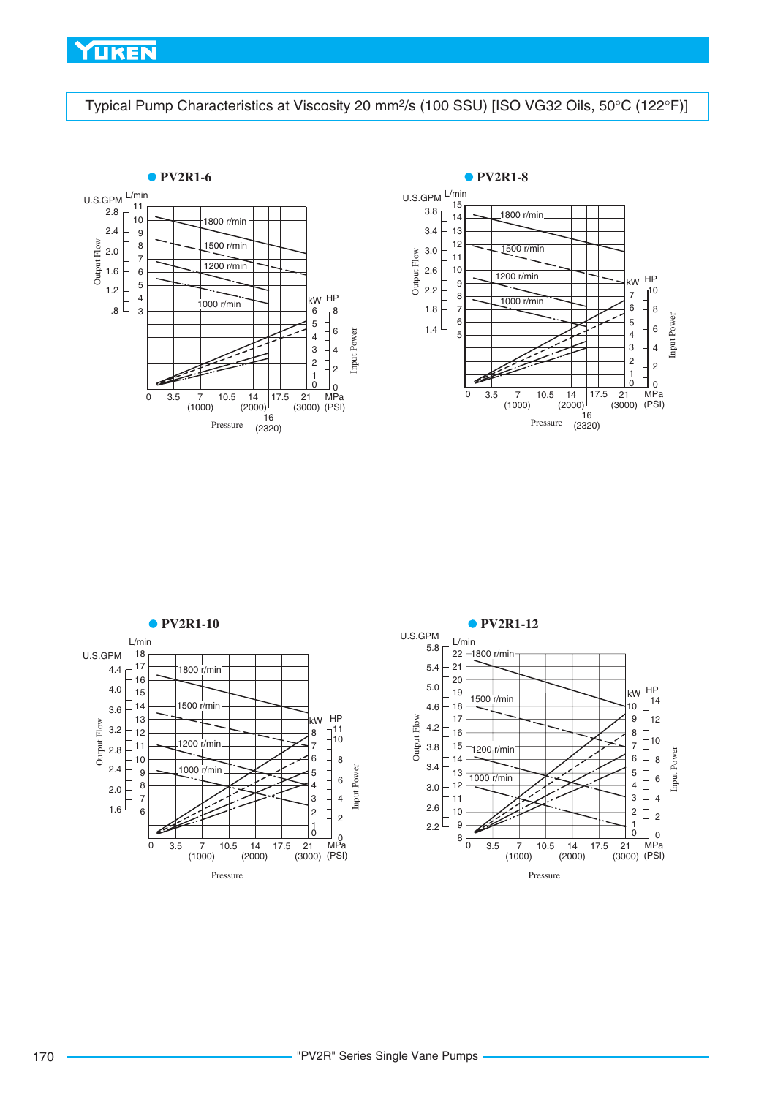<span id="page-11-0"></span>Typical Pump Characteristics at Viscosity 20 mm<sup>2</sup>/s (100 SSU) [ISO VG32 Oils, 50°C (122°F)]





8 6 Input Power

0 2 4

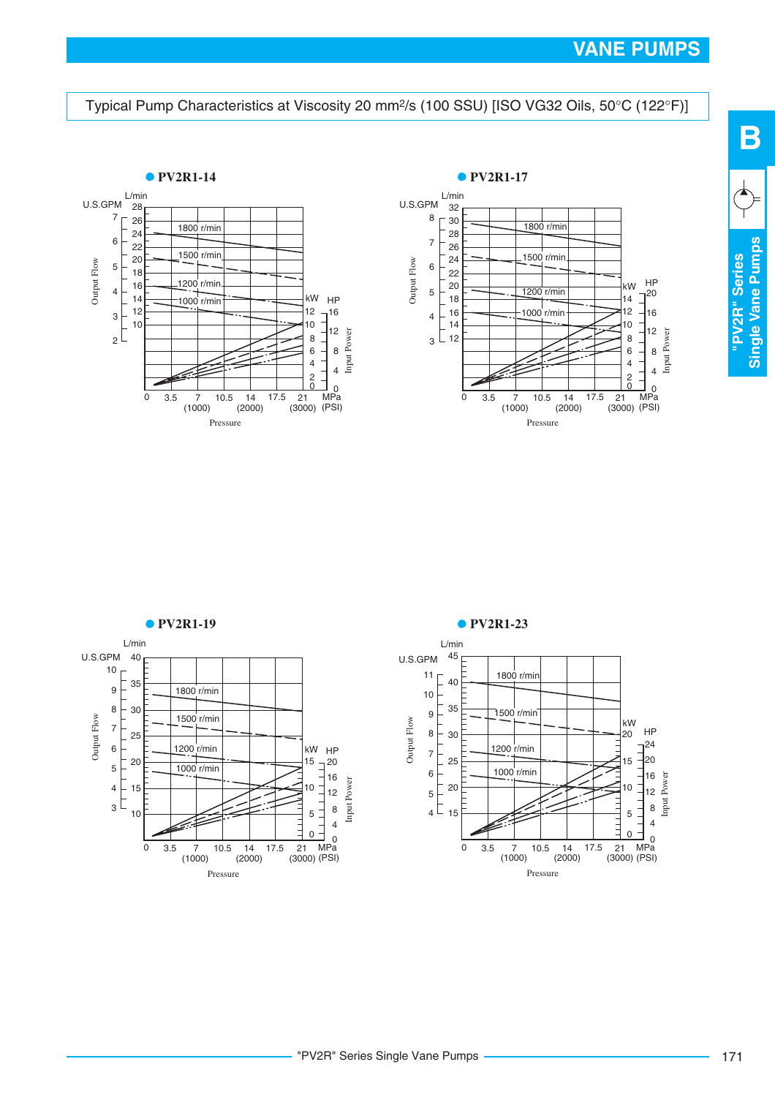#### <span id="page-12-0"></span>Typical Pump Characteristics at Viscosity 20 mm<sup>2</sup>/s (100 SSU) [ISO VG32 Oils, 50°C (122°F)]





L/min U.S.GPM 1800 r/min Output Flow 1500 r/min 1200 r/min kW HP<br>15 - 20  $\overline{1}^{20}$  1000 r/min Input Power  $_3$   $\Gamma$   $\frac{1}{100}$ <sup>-</sup> 0 3.5 7 10.5 14 17.5 21 MPa<br>(1000) (2000) (3000)(PSI) Pressure



Single Vane Pumps **Single Vane Pumps** "PV2R" Series **"PV2R" Series**

**B**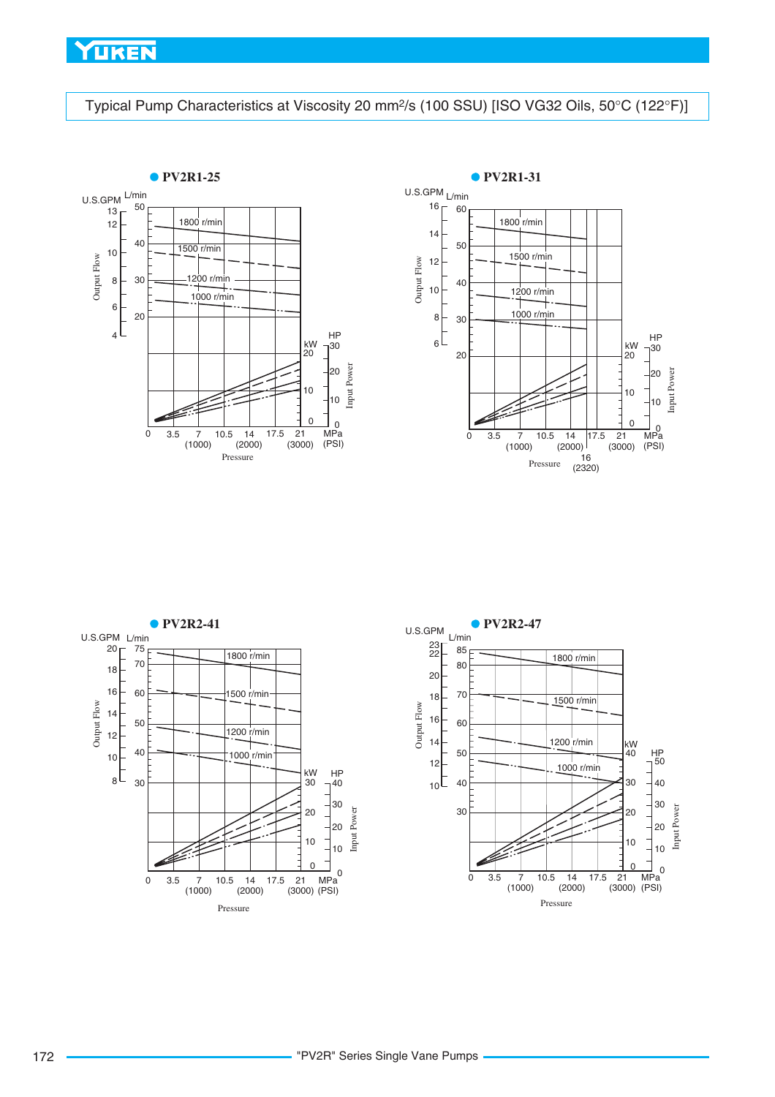<span id="page-13-0"></span>Typical Pump Characteristics at Viscosity 20 mm<sup>2</sup>/s (100 SSU) [ISO VG32 Oils, 50°C (122°F)]







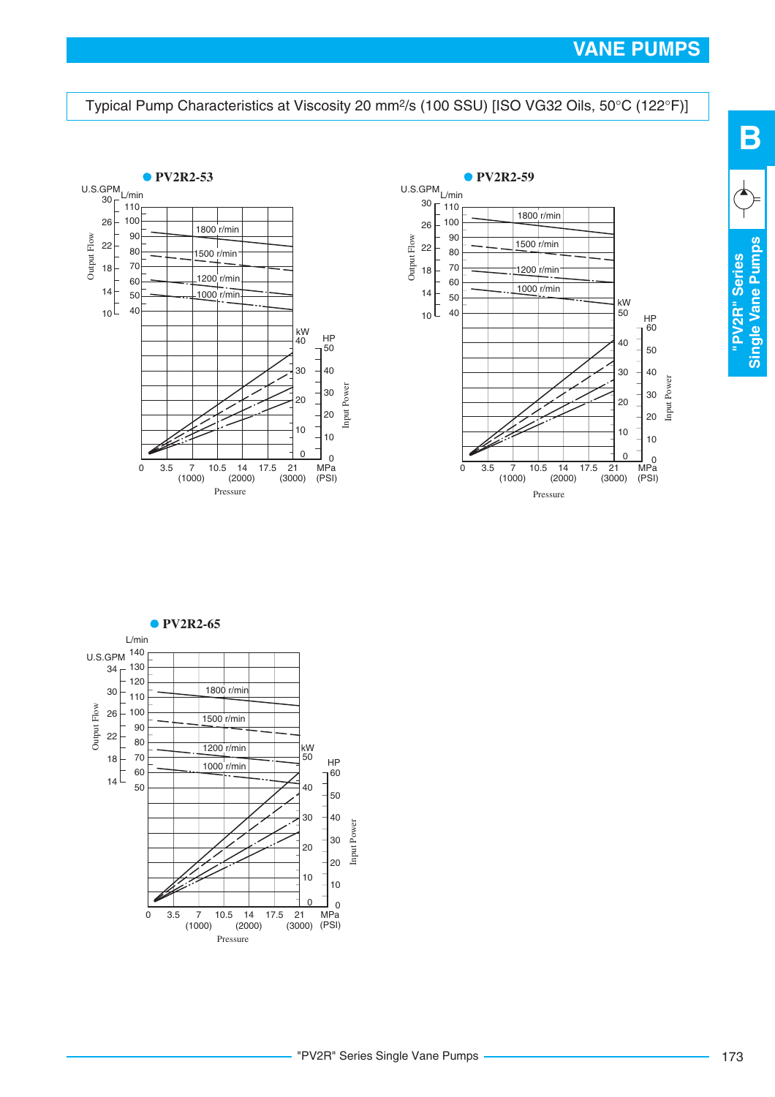**"PV2R" Series Single Vane Pumps**

Single Vane Pumps "PV2R" Series

**B**

#### <span id="page-14-0"></span>Typical Pump Characteristics at Viscosity 20 mm<sup>2</sup>/s (100 SSU) [ISO VG32 Oils, 50°C (122°F)]





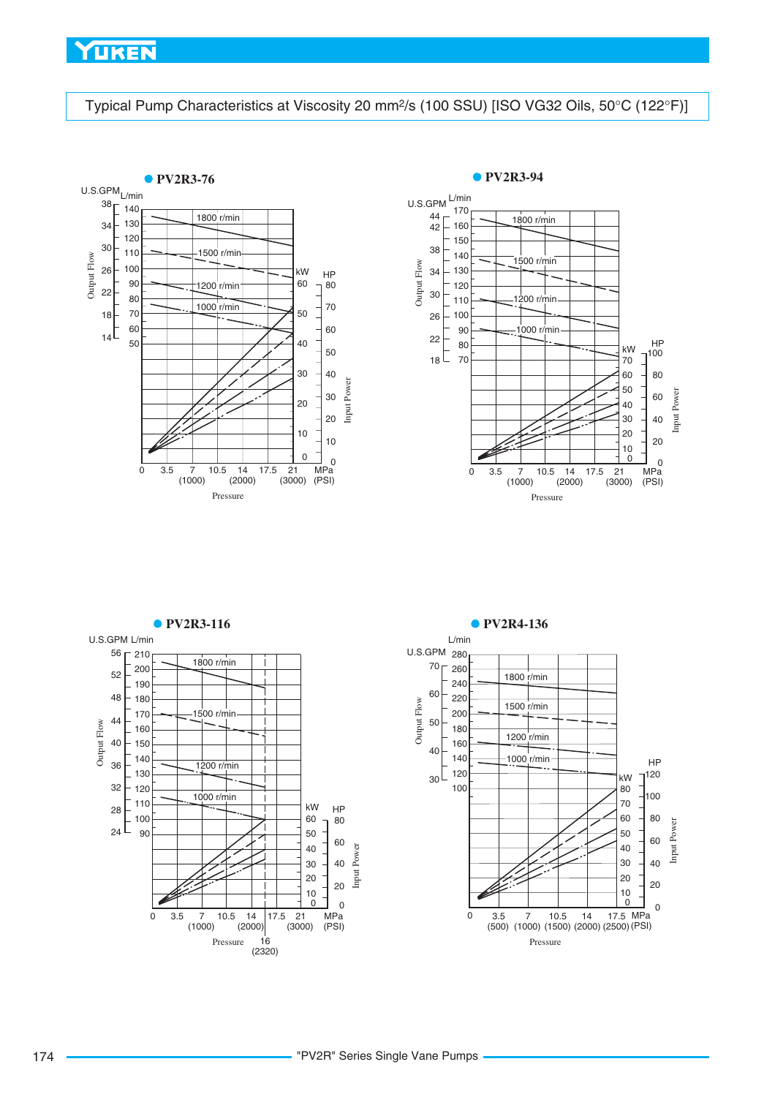<span id="page-15-0"></span>Typical Pump Characteristics at Viscosity 20 mm<sup>2</sup>/s (100 SSU) [ISO VG32 Oils, 50°C (122°F)]





Input Power

**PV2R3-116 PV2R4-136** L/min U.S.GPM L/min 210 U.S.GPM 280 1800 r/min  $70 - 260$  1800 r/min  $48 + 180$  Output Flow 1500 r/min 1500 r/min Output Flow 1200 r/min  $-150$  1000 r/min HP 1200 r/min kW 1000 r/min kW HP  $\frac{1}{80}$ L Input Power  $\overline{0}$  0 3.5 7 10.5 14 17.5 21 MPa<br>(1000) (2000) (3000) (PSI) 0 3.5 7 10.5 14 17.5 MPa<br>(500) (1000) (1500) (2000) (2500) (PSI)  $(3000)$ Pressure Pressure (2320)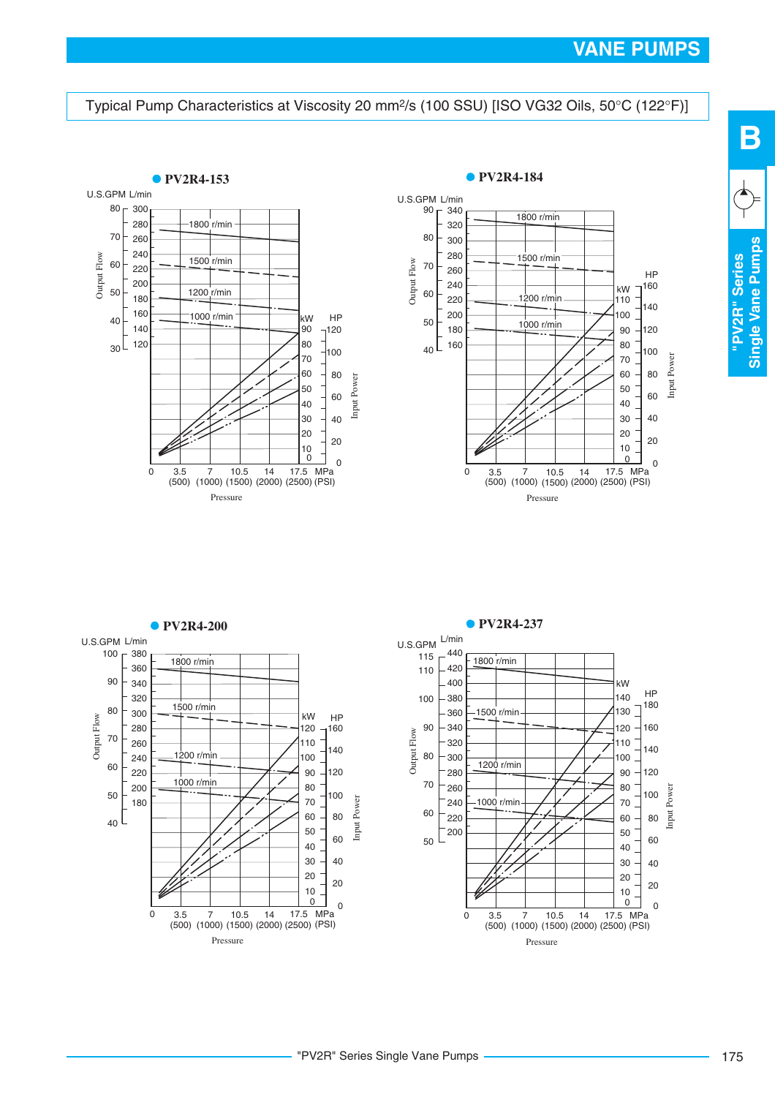**"PV2R" Series Single Vane Pumps**

Single Vane Pumps "PV2R" Series

**B**

#### <span id="page-16-0"></span>Typical Pump Characteristics at Viscosity 20 mm<sup>2</sup>/s (100 SSU) [ISO VG32 Oils, 50°C (122°F)]







#### "PV2R" Series Single Vane Pumps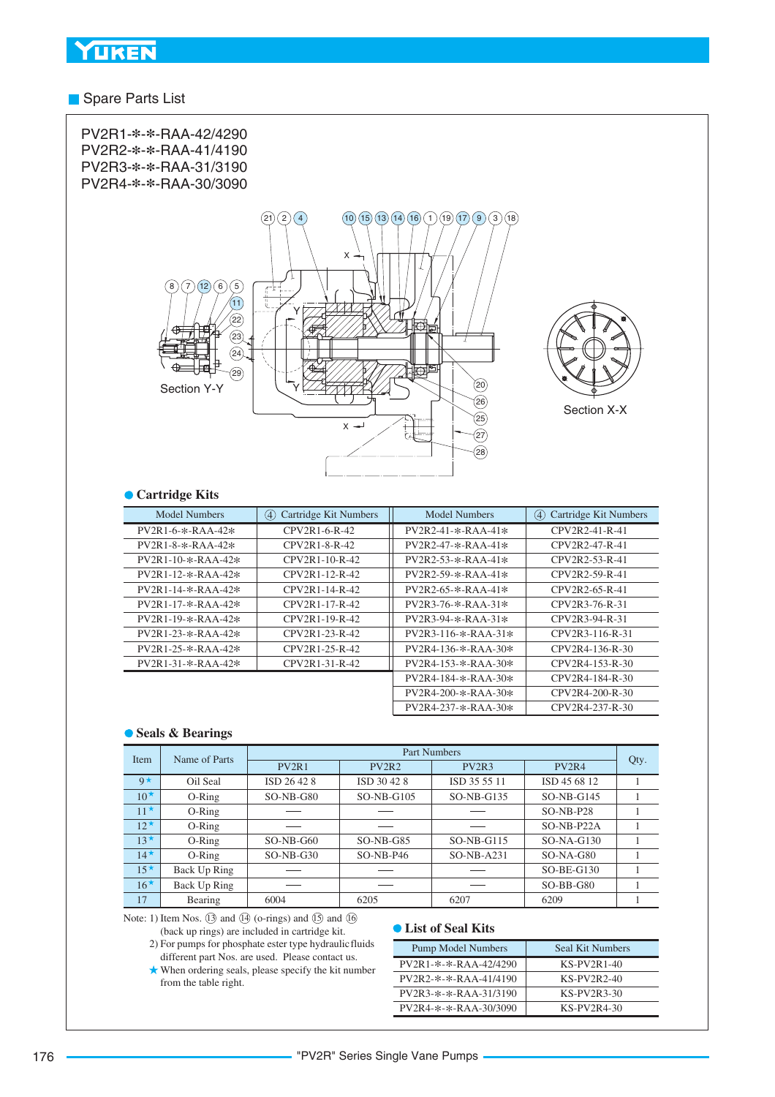#### **Spare Parts List**



#### **Cartridge Kits**

| Model Numbers                | Cartridge Kit Numbers<br>(4) | <b>Model Numbers</b>  | Cartridge Kit Numbers<br>(4) |
|------------------------------|------------------------------|-----------------------|------------------------------|
| $PV2R1-6-x-RAA-42*$          | CPV2R1-6-R-42                | $PV2R2-41-$ *-RAA-41* | CPV2R2-41-R-41               |
| $PV2R1 - 8 - * - RAA - 42*$  | CPV2R1-8-R-42                | $PV2R2-47-$ *-RAA-41* | CPV2R2-47-R-41               |
| $PV2R1-10-*-RAA-42*$         | $CPV2R1-10-R-42$             | $PV2R2-53-*-RAA-41*$  | CPV2R2-53-R-41               |
| $PV2R1-12-*-RAA-42*$         | CPV2R1-12-R-42               | $PV2R2-59-*-RAA-41*$  | CPV2R2-59-R-41               |
| $PV2R1-14-x-RAA-42*$         | CPV2R1-14-R-42               | $PV2R2-65-x-RAA-41*$  | CPV2R2-65-R-41               |
| $PV2R1-17-x-RAA-42*$         | CPV2R1-17-R-42               | $PV2R3-76-8-RAA-31*$  | CPV2R3-76-R-31               |
| $PV2R1-19-*-RAA-42*$         | CPV2R1-19-R-42               | $PV2R3-94-*-RAA-31*$  | CPV2R3-94-R-31               |
| $PV2R1-23-*-RAA-42*$         | CPV2R1-23-R-42               | $PV2R3-116-x-RAA-31*$ | CPV2R3-116-R-31              |
| $PV2R1 - 25 - * - RAA - 42*$ | CPV2R1-25-R-42               | $PV2R4-136-x-RAA-30*$ | CPV2R4-136-R-30              |
| $PV2R1 - 31 - * - RAA - 42*$ | CPV2R1-31-R-42               | $PV2R4-153-x-RAA-30*$ | CPV2R4-153-R-30              |
|                              |                              | $PV2R4-184-*-RAA-30*$ | CPV2R4-184-R-30              |
|                              |                              | $PV2R4-200-*-RAA-30*$ | CPV2R4-200-R-30              |
|                              |                              | $PV2R4-237-x-RAA-30*$ | CPV2R4-237-R-30              |

#### **Seals & Bearings**

| Name of Parts<br>Item |              | <b>Part Numbers</b> |                                |                                |                                |      |  |  |
|-----------------------|--------------|---------------------|--------------------------------|--------------------------------|--------------------------------|------|--|--|
|                       |              | PV <sub>2R1</sub>   | PV <sub>2</sub> R <sub>2</sub> | PV <sub>2</sub> R <sub>3</sub> | PV <sub>2</sub> R <sub>4</sub> | Qty. |  |  |
| $9*$                  | Oil Seal     | ISD 26 42 8         | ISD 30 42 8                    | ISD 35 55 11                   | ISD 45 68 12                   |      |  |  |
| $10^{\star}$          | $O-Ring$     | $SO-NB-G80$         | $SO-NB-G105$                   | $SO-NB-G135$                   | $SO-NB-G145$                   |      |  |  |
| $11*$                 | $O-Ring$     |                     |                                |                                | $SO-NB- P28$                   |      |  |  |
| $12^{\star}$          | O-Ring       |                     |                                |                                | SO-NB-P22A                     |      |  |  |
| $13^{\star}$          | $O-Ring$     | $SO-NB-G60$         | $SO-NB-G85$                    | $SO-NB-G115$                   | $SO-NA-G130$                   |      |  |  |
| $14*$                 | $O-Ring$     | $SO-NB-G30$         | $SO-NB-P46$                    | $SO-NB-A231$                   | $SO-NA-G80$                    |      |  |  |
| $15*$                 | Back Up Ring |                     |                                |                                | $SO-BE-G130$                   |      |  |  |
| $16*$                 | Back Up Ring |                     |                                |                                | $SO-BB-G80$                    |      |  |  |
| 17                    | Bearing      | 6004                | 6205                           | 6207                           | 6209                           |      |  |  |

Note: 1) Item Nos.  $(13)$  and  $(14)$  (o-rings) and  $(15)$  and  $(16)$ (back up rings) are included in cartridge kit.

- 2) For pumps for phosphate ester type hydraulic fluids different part Nos. are used. Please contact us.
	- When ordering seals, please specify the kit number from the table right.

#### **List of Seal Kits**

| Pump Model Numbers    | Seal Kit Numbers |
|-----------------------|------------------|
| PV2R1-*-*-RAA-42/4290 | $KS-PV2R1-40$    |
| PV2R2-*-*-RAA-41/4190 | $KS-PV2R2-40$    |
| PV2R3-*-*-RAA-31/3190 | KS-PV2R3-30      |
| PV2R4-*-*-RAA-30/3090 | $KS-PV2R4-30$    |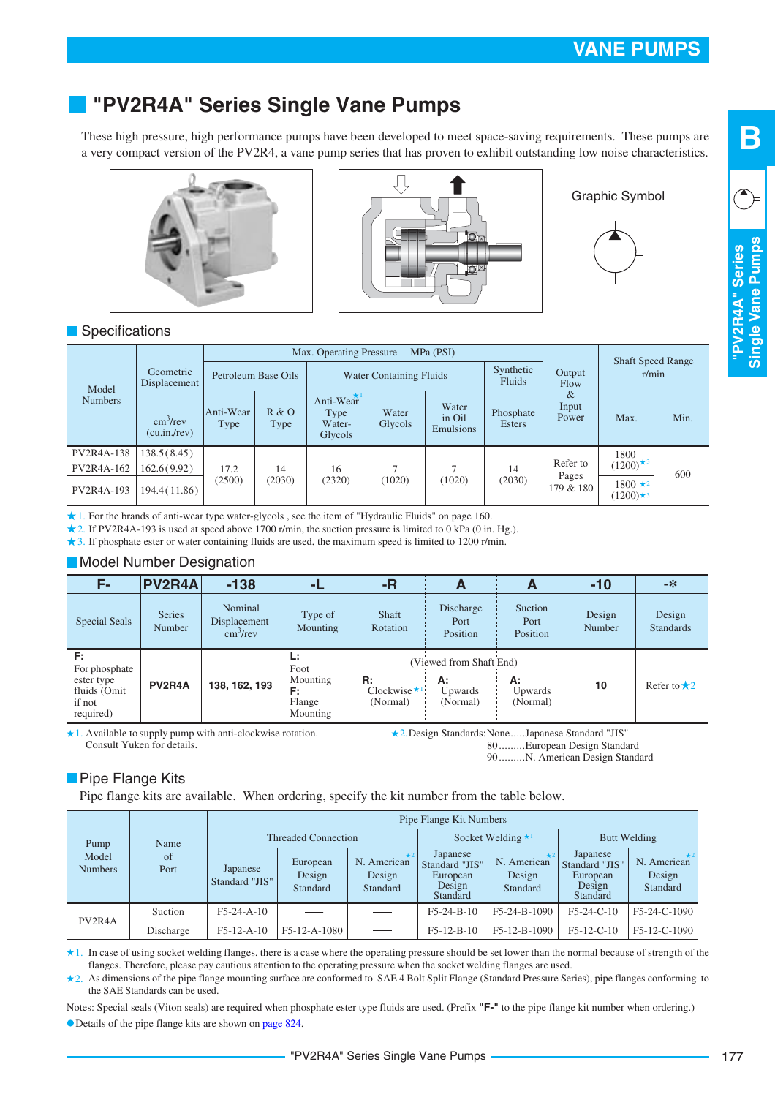# <span id="page-18-0"></span>**"PV2R4A" Series Single Vane Pumps**

These high pressure, high performance pumps have been developed to meet space-saving requirements. These pumps are a very compact version of the PV2R4, a vane pump series that has proven to exhibit outstanding low noise characteristics.





Graphic Symbol



#### **Specifications**

| Model<br><b>Numbers</b>  |                                                                       |                     | Max. Operating Pressure<br>MPa (PSI) |                                        |                  |                              |                            |                                   |                                          |      |
|--------------------------|-----------------------------------------------------------------------|---------------------|--------------------------------------|----------------------------------------|------------------|------------------------------|----------------------------|-----------------------------------|------------------------------------------|------|
|                          | Geometric<br>Displacement<br>$\text{cm}^3/\text{rev}$<br>(cu.in./rev) | Petroleum Base Oils |                                      | <b>Water Containing Fluids</b>         |                  | Synthetic<br>Fluids          | Output<br>Flow             | <b>Shaft Speed Range</b><br>r/min |                                          |      |
|                          |                                                                       | Anti-Wear<br>Type   | R & O<br><b>Type</b>                 | Anti-Wear<br>Type<br>Water-<br>Glycols | Water<br>Glycols | Water<br>in Oil<br>Emulsions | Phosphate<br><b>Esters</b> | &<br>Input<br>Power               | Max.                                     | Min. |
| PV2R4A-138               | 138.5(8.45)                                                           |                     |                                      |                                        |                  |                              |                            |                                   | 1800                                     |      |
| PV2R4A-162<br>PV2R4A-193 | 162.6(9.92)                                                           | 17.2                | 14                                   | 16                                     |                  | (1020)                       | 14<br>(2030)               | Refer to                          | $(1200)^{\star}$ <sup>3</sup><br>600     |      |
|                          | 194.4(11.86)                                                          | (2500)              | (2030)                               | (2320)                                 | (1020)           |                              |                            | Pages<br>179 & 180                | $1800 \star 2$<br>$(1200)$ <sup>*3</sup> |      |

1. For the brands of anti-wear type water-glycols , see the item of "Hydraulic Fluids" on page 160.

2. If PV2R4A-193 is used at speed above 1700 r/min, the suction pressure is limited to 0 kPa (0 in. Hg.).

3. If phosphate ester or water containing fluids are used, the maximum speed is limited to 1200 r/min.

#### **Model Number Designation**

| F-                                  | <b>PV2R4A</b>           | $-138$                                              | -1                       | -R                                           | A                             | A                           | $-10$            | -*                         |
|-------------------------------------|-------------------------|-----------------------------------------------------|--------------------------|----------------------------------------------|-------------------------------|-----------------------------|------------------|----------------------------|
| <b>Special Seals</b>                | <b>Series</b><br>Number | Nominal<br>Displacement<br>$\text{cm}^3/\text{rev}$ | Type of<br>Mounting      | <b>Shaft</b><br>Rotation                     | Discharge<br>Port<br>Position | Suction<br>Port<br>Position | Design<br>Number | Design<br><b>Standards</b> |
| F:<br>For phosphate<br>ester type   |                         |                                                     | Ŀ.<br>Foot<br>Mounting   | R:                                           | (Viewed from Shaft End)<br>А: | А:                          |                  |                            |
| fluids (Omit<br>if not<br>required) | PV2R4A                  | 138, 162, 193                                       | F:<br>Flange<br>Mounting | Clockwise $\star$ <sup>1</sup> !<br>(Normal) | Upwards<br>(Normal)           | <b>Upwards</b><br>(Normal)  | 10               | Refer to $\star$ 2         |

\* 1. Available to supply pump with anti-clockwise rotation. Consult Yuken for details.

2.Design Standards:None.....Japanese Standard "JIS" 80 .... ..... European Design Standard

90 .... ..... N. American Design Standard

#### **Pipe Flange Kits**

Pipe flange kits are available. When ordering, specify the kit number from the table below.

|                                  |                    | Pipe Flange Kit Numbers    |                                |                                   |                                                                     |                                     |                                                              |                                   |  |  |
|----------------------------------|--------------------|----------------------------|--------------------------------|-----------------------------------|---------------------------------------------------------------------|-------------------------------------|--------------------------------------------------------------|-----------------------------------|--|--|
| Pump                             | Name<br>of<br>Port | <b>Threaded Connection</b> |                                |                                   |                                                                     | Socket Welding $\star$ <sup>1</sup> | Butt Welding                                                 |                                   |  |  |
| Model<br><b>Numbers</b>          |                    | Japanese<br>Standard "JIS" | European<br>Design<br>Standard | N. American<br>Design<br>Standard | Japanese<br>Standard "JIS"<br>European<br>Design<br><b>Standard</b> | N. American<br>Design<br>Standard   | Japanese<br>Standard "JIS"<br>European<br>Design<br>Standard | N. American<br>Design<br>Standard |  |  |
| PV <sub>2</sub> R <sub>4</sub> A | Suction            | $F5-24-A-10$               |                                |                                   | $F5-24-B-10$                                                        | $F5-24-B-1090$                      | $F5-24-C-10$                                                 | F5-24-C-1090                      |  |  |
|                                  | Discharge          | $F5-12-A-10$               | F5-12-A-1080                   |                                   | $F5-12-B-10$                                                        | F5-12-B-1090                        | $F5-12-C-10$                                                 | F5-12-C-1090                      |  |  |

In case of using socket welding flanges, there is a case where the operating pressure should be set lower than the normal because of strength of the flanges. Therefore, please pay cautious attention to the operating pressure when the socket welding flanges are used.  $\star$ 1.

2. As dimensions of the pipe flange mounting surface are conformed to SAE 4 Bolt Split Flange (Standard Pressure Series), pipe flanges conforming to the SAE Standards can be used.

Notes: Special seals (Viton seals) are required when phosphate ester type fluids are used. (Prefix **"F-"** to the pipe flange kit number when ordering.) Details of the pipe flange kits are shown on page 824.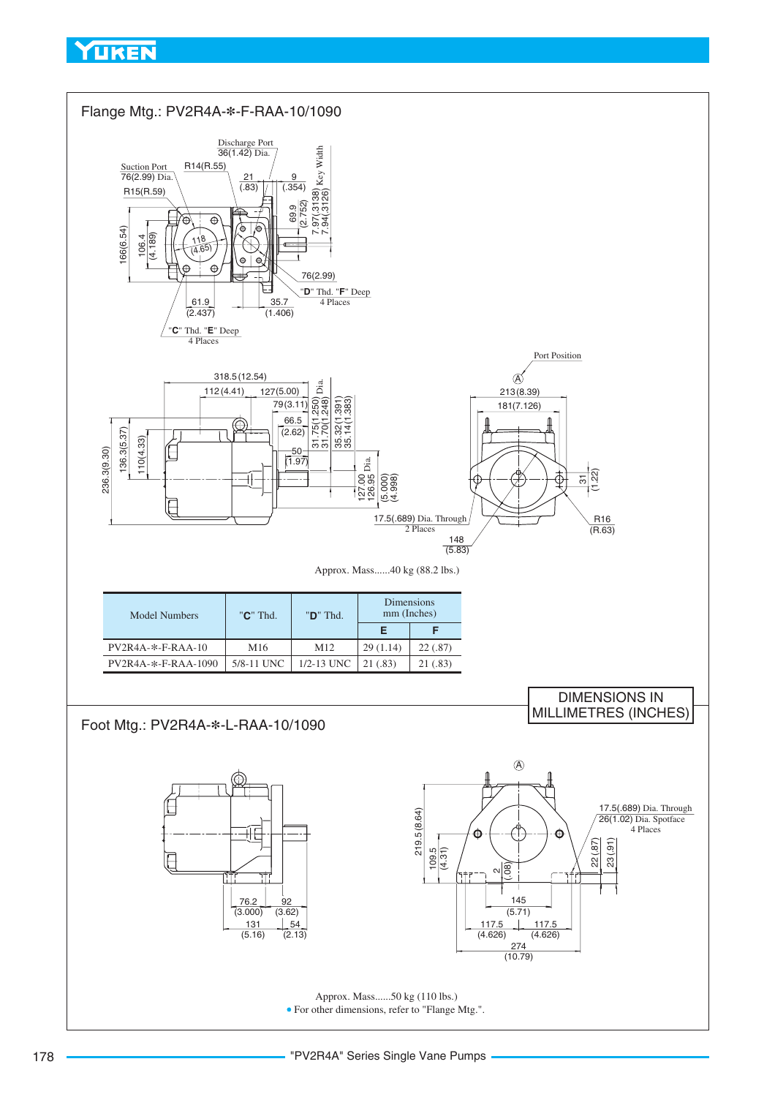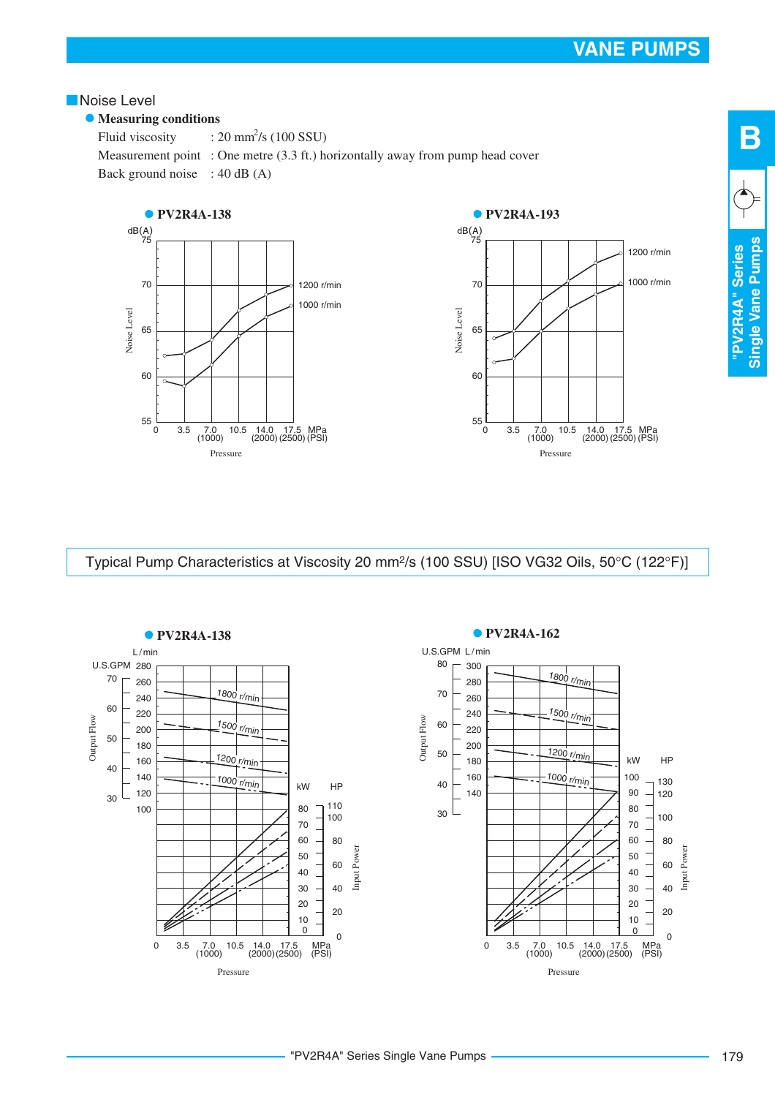1200 r/min

1000 r/min

#### <span id="page-20-0"></span>**Noise Level**

#### **• Measuring conditions**

Fluid viscosity Measurement point : One metre (3.3 ft.) horizontally away from pump head cover Back ground noise : 40 dB (A)  $: 20 \text{ mm}^2\text{/s}$  (100 SSU)



Typical Pump Characteristics at Viscosity 20 mm<sup>2</sup>/s (100 SSU) [ISO VG32 Oils, 50°C (122°F)]



# "PV2R4A" Series Single Vane Pumps

**B**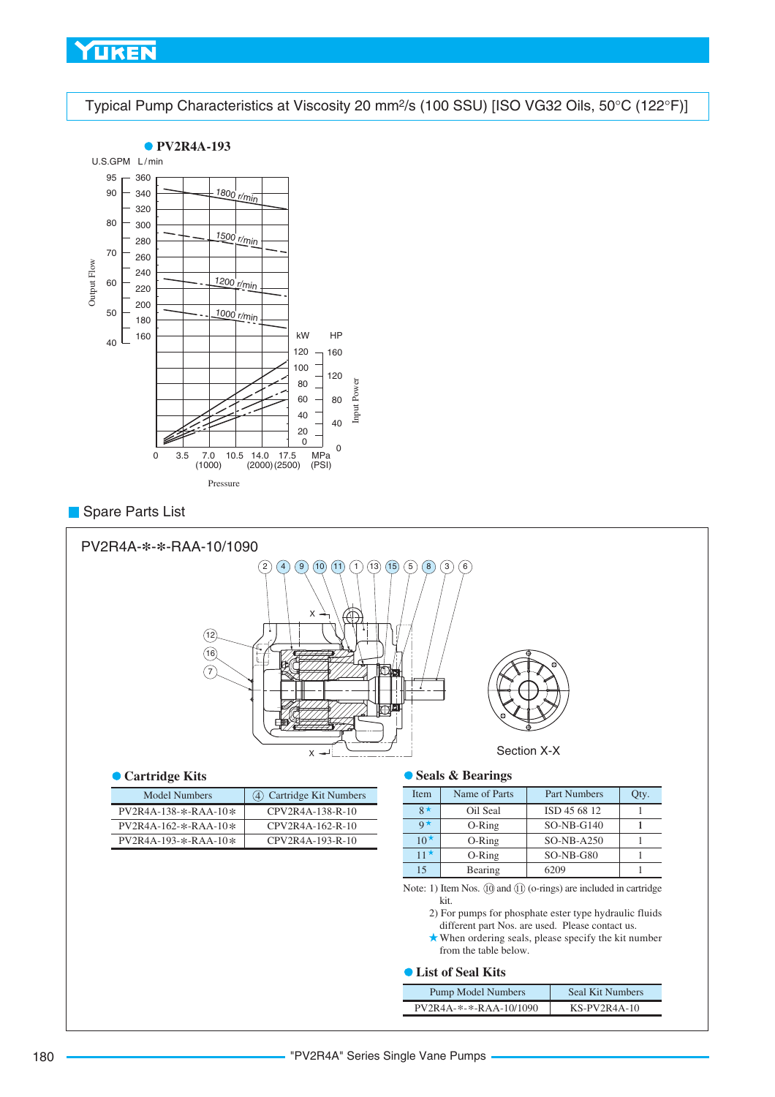<span id="page-21-0"></span>Typical Pump Characteristics at Viscosity 20 mm<sup>2</sup>/s (100 SSU) [ISO VG32 Oils, 50°C (122°F)]



#### **Spare Parts List**



#### **Cartridge Kits**

| Model Numbers          | (4) Cartridge Kit Numbers |
|------------------------|---------------------------|
| $PV2R4A-138-*-RAA-10*$ | CPV2R4A-138-R-10          |
| PV2R4A-162-*-RAA-10*   | CPV2R4A-162-R-10          |
| $PV2R4A-193-*-RAA-10*$ | CPV2R4A-193-R-10          |
|                        |                           |

#### **Seals & Bearings**

| <b>Item</b>          | Name of Parts | <b>Part Numbers</b> | Qty. |
|----------------------|---------------|---------------------|------|
| $8*$                 | Oil Seal      | ISD 45 68 12        |      |
| $\mathbf{Q}$ $\star$ | $O-Ring$      | $SO-NB-G140$        |      |
| $10^{\star}$         | $O-Ring$      | $SO-NB-A250$        |      |
| 11 $\star$           | $O-Ring$      | $SO-NB-G80$         |      |
| 15                   | Bearing       | 6209                |      |

Note: 1) Item Nos.  $(10)$  and  $(1)$  (o-rings) are included in cartridge kit.

2) For pumps for phosphate ester type hydraulic fluids different part Nos. are used. Please contact us.

When ordering seals, please specify the kit number from the table below.

#### **List of Seal Kits**

| <b>Pump Model Numbers</b> | Seal Kit Numbers |
|---------------------------|------------------|
| PV2R4A-*-*-RAA-10/1090    | $KS-PV2R4A-10$   |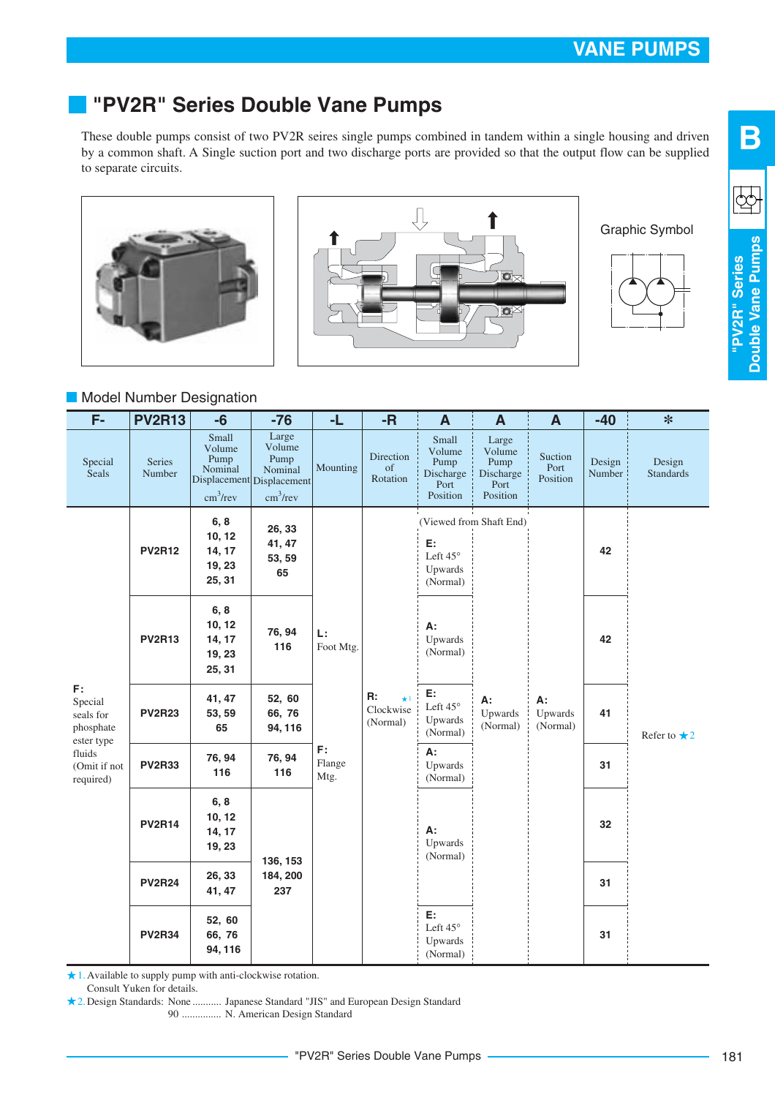# <span id="page-22-0"></span>**"PV2R" Series Double Vane Pumps**

These double pumps consist of two PV2R seires single pumps combined in tandem within a single housing and driven by a common shaft. A Single suction port and two discharge ports are provided so that the output flow can be supplied to separate circuits.





Graphic Symbol



**B**

 $\mathbb{Q}$ 

#### **Model Number Designation**

| $\overline{F}$                                    | <b>PV2R13</b>    | $-6$                                                       | $-76$                                                                          | -L                                      | $-R$                        | A                                                        | $\mathbf{A}$                                             | $\mathbf{A}$                          | $-40$                     | $\ast$                     |    |
|---------------------------------------------------|------------------|------------------------------------------------------------|--------------------------------------------------------------------------------|-----------------------------------------|-----------------------------|----------------------------------------------------------|----------------------------------------------------------|---------------------------------------|---------------------------|----------------------------|----|
| Special<br><b>Seals</b>                           | Series<br>Number | Small<br>Volume<br>Pump<br>Nominal<br>cm <sup>3</sup> /rev | Large<br>Volume<br>Pump<br>Nominal<br>Displacement Displacement<br>$cm^3$ /rev | Mounting                                | Direction<br>of<br>Rotation | Small<br>Volume<br>Pump<br>Discharge<br>Port<br>Position | Large<br>Volume<br>Pump<br>Discharge<br>Port<br>Position | Suction<br>Port<br>Position           | Design<br>Number          | Design<br><b>Standards</b> |    |
|                                                   | <b>PV2R12</b>    | 6, 8<br>10, 12<br>14, 17<br>19, 23<br>25, 31               | 26, 33<br>41, 47<br>53, 59<br>65                                               |                                         |                             | E:<br>Left 45°<br>Upwards<br>(Normal)                    | (Viewed from Shaft End)                                  |                                       | 42                        |                            |    |
| F:<br>Special<br>seals for<br>phosphate           | <b>PV2R13</b>    | 6, 8<br>10, 12<br>14, 17<br>19, 23<br>25, 31               | 76, 94<br>116                                                                  | L:<br>Foot Mtg.<br>F:<br>Flange<br>Mtg. |                             | R:<br>$\star$ 1<br>Clockwise<br>(Normal)                 | А:<br>Upwards<br>(Normal)                                |                                       |                           | 42                         |    |
|                                                   | <b>PV2R23</b>    | 41, 47<br>53, 59<br>65                                     | 52, 60<br>66, 76<br>94, 116                                                    |                                         |                             |                                                          |                                                          | E:<br>Left 45°<br>Upwards<br>(Normal) | A:<br>Upwards<br>(Normal) | A:<br>Upwards<br>(Normal)  | 41 |
| ester type<br>fluids<br>(Omit if not<br>required) | <b>PV2R33</b>    | 76, 94<br>116                                              | 76, 94<br>116                                                                  |                                         |                             |                                                          |                                                          | A:<br>Upwards<br>(Normal)             |                           |                            | 31 |
|                                                   | <b>PV2R14</b>    | 6, 8<br>10, 12<br>14, 17<br>19, 23                         | 136, 153                                                                       |                                         |                             |                                                          |                                                          |                                       | A:<br>Upwards<br>(Normal) |                            |    |
|                                                   | <b>PV2R24</b>    | 26, 33<br>41, 47                                           | 184, 200<br>237                                                                |                                         |                             |                                                          |                                                          | 31                                    |                           |                            |    |
|                                                   | <b>PV2R34</b>    | 52, 60<br>66, 76<br>94, 116                                |                                                                                |                                         |                             | E:<br>Left 45°<br>Upwards<br>(Normal)                    |                                                          |                                       | 31                        |                            |    |

1. Available to supply pump with anti-clockwise rotation.

Consult Yuken for details.

2. Design Standards: None ........... Japanese Standard "JIS" and European Design Standard

90 N. American Design Standard ...............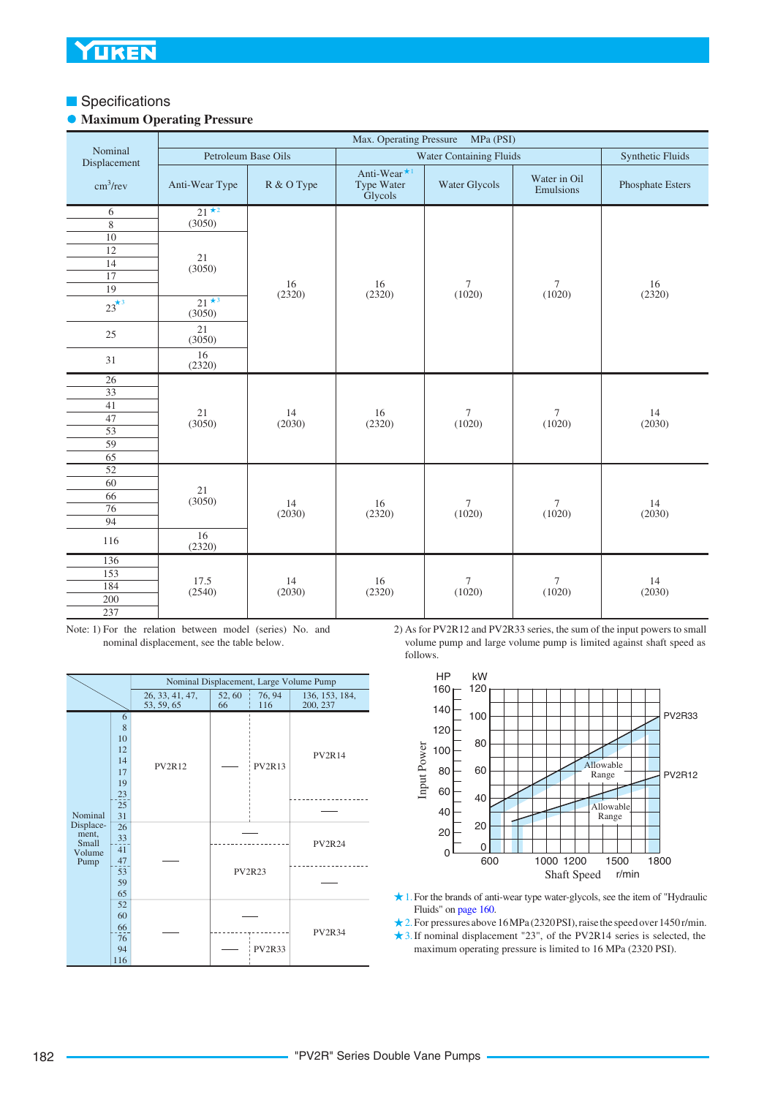#### **Specifications**

#### **• Maximum Operating Pressure**

|                         | Max. Operating Pressure<br>MPa (PSI)<br>Synthetic Fluids |                     |                                                  |                         |                           |                  |  |  |
|-------------------------|----------------------------------------------------------|---------------------|--------------------------------------------------|-------------------------|---------------------------|------------------|--|--|
| Nominal<br>Displacement |                                                          | Petroleum Base Oils |                                                  | Water Containing Fluids |                           |                  |  |  |
| cm <sup>3</sup> /rev    | Anti-Wear Type                                           | R & O Type          | Anti-Wear <sup>*1</sup><br>Type Water<br>Glycols | Water Glycols           | Water in Oil<br>Emulsions | Phosphate Esters |  |  |
| 6                       | $21 \star 2$                                             |                     |                                                  |                         |                           |                  |  |  |
| $\,$ 8 $\,$             | (3050)                                                   |                     |                                                  |                         |                           |                  |  |  |
| 10                      |                                                          |                     |                                                  |                         |                           |                  |  |  |
| $\overline{12}$         | 21                                                       |                     |                                                  |                         |                           |                  |  |  |
| 14<br>17                | (3050)                                                   |                     |                                                  |                         |                           |                  |  |  |
| 19                      |                                                          | 16                  | 16                                               | $\tau$                  | $\tau$                    | 16               |  |  |
| $23^{\star 3}$          | $21 \star 3$<br>(3050)                                   | (2320)              | (2320)                                           | (1020)                  | (1020)                    | (2320)           |  |  |
| 25                      | 21<br>(3050)                                             |                     |                                                  |                         |                           |                  |  |  |
| 31                      | 16<br>(2320)                                             |                     |                                                  |                         |                           |                  |  |  |
| 26                      |                                                          |                     |                                                  |                         |                           |                  |  |  |
| $\overline{33}$         |                                                          |                     |                                                  |                         |                           |                  |  |  |
| 41                      | 21                                                       | 14                  | 16<br>(2320)                                     | $\tau$<br>(1020)        | $\tau$<br>(1020)          | 14<br>(2030)     |  |  |
| 47                      | (3050)                                                   | (2030)              |                                                  |                         |                           |                  |  |  |
| $\overline{53}$<br>59   |                                                          |                     |                                                  |                         |                           |                  |  |  |
| 65                      |                                                          |                     |                                                  |                         |                           |                  |  |  |
| $\overline{52}$         |                                                          |                     |                                                  |                         |                           |                  |  |  |
| 60                      |                                                          |                     |                                                  |                         |                           |                  |  |  |
| 66                      | 21                                                       |                     |                                                  |                         |                           |                  |  |  |
| 76                      | (3050)                                                   | 14<br>(2030)        | 16<br>(2320)                                     | $\tau$<br>(1020)        | $\tau$<br>(1020)          | 14<br>(2030)     |  |  |
| 94                      |                                                          |                     |                                                  |                         |                           |                  |  |  |
| 116                     | 16<br>(2320)                                             |                     |                                                  |                         |                           |                  |  |  |
| 136                     |                                                          |                     |                                                  |                         |                           |                  |  |  |
| 153                     | 17.5                                                     | 14                  | 16                                               | $\tau$                  | $\tau$                    | 14               |  |  |
| 184                     | (2540)                                                   | (2030)              | (2320)                                           | (1020)                  | (1020)                    | (2030)           |  |  |
| 200                     |                                                          |                     |                                                  |                         |                           |                  |  |  |
| 237                     |                                                          |                     |                                                  |                         |                           |                  |  |  |

Note: 1) For the relation between model (series) No. and nominal displacement, see the table below.

|                                               |                                            |                               |               |               | Nominal Displacement, Large Volume Pump |
|-----------------------------------------------|--------------------------------------------|-------------------------------|---------------|---------------|-----------------------------------------|
|                                               |                                            | 26, 33, 41, 47,<br>53, 59, 65 | 52,60<br>66   | 76, 94<br>116 | 136, 153, 184,<br>200, 237              |
|                                               | 6<br>8<br>10<br>12<br>14<br>17<br>19<br>23 | <b>PV2R12</b>                 |               | <b>PV2R13</b> | <b>PV2R14</b>                           |
| Nominal                                       | 25<br>31                                   |                               |               |               |                                         |
| Displace-<br>ment,<br>Small<br>Volume<br>Pump | 26<br>33<br>41<br>47                       |                               |               |               | <b>PV2R24</b>                           |
|                                               | 53<br>59<br>65                             |                               | <b>PV2R23</b> |               |                                         |
|                                               | 52<br>60<br>66<br>76<br>94<br>116          |                               |               | <b>PV2R33</b> | <b>PV2R34</b>                           |

2) As for PV2R12 and PV2R33 series, the sum of the input powers to small volume pump and large volume pump is limited against shaft speed as follows.



- 1. For the brands of anti-wear type water-glycols, see the item of "Hydraulic Fluids" on [page 160.](#page-1-0)
- 2. For pressures above 16 MPa (2320 PSI), raise the speed over 1450 r/min. 3. If nominal displacement "23", of the PV2R14 series is selected, the
- maximum operating pressure is limited to 16 MPa (2320 PSI).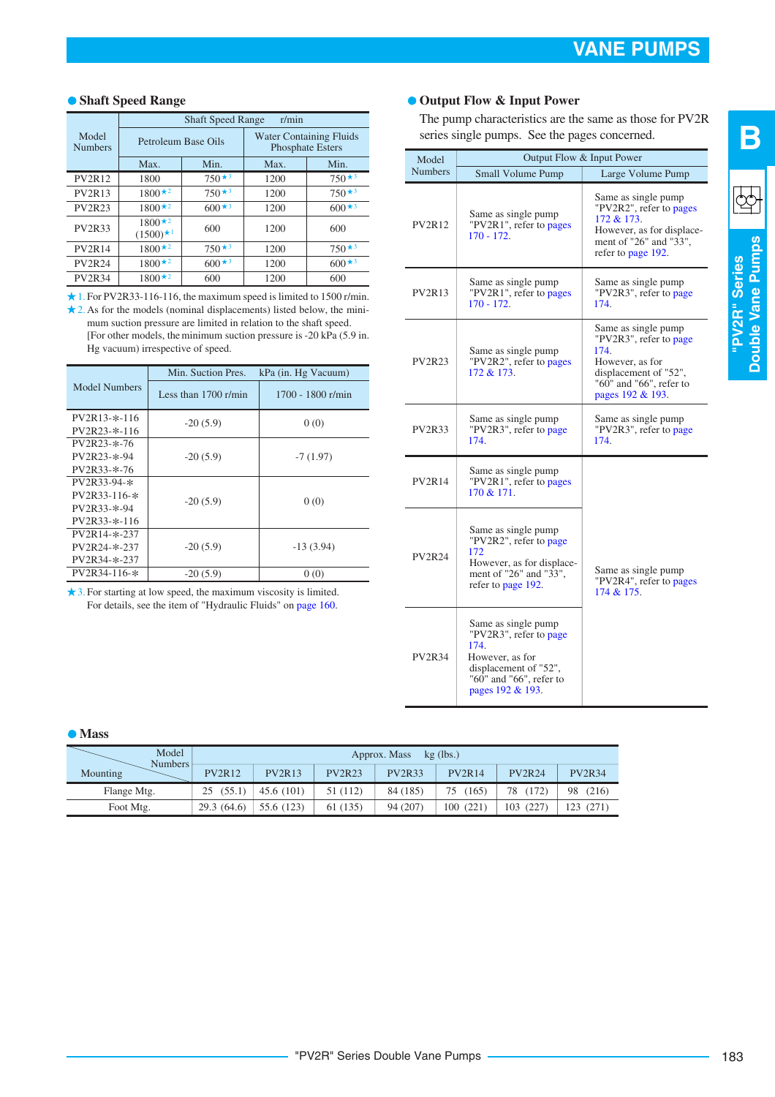#### **Shaft Speed Range**

|                         | <b>Shaft Speed Range</b><br>r/min |                     |                                                           |                          |  |  |  |  |
|-------------------------|-----------------------------------|---------------------|-----------------------------------------------------------|--------------------------|--|--|--|--|
| Model<br><b>Numbers</b> |                                   | Petroleum Base Oils | <b>Water Containing Fluids</b><br><b>Phosphate Esters</b> |                          |  |  |  |  |
|                         | Max.                              | Min.                | Max.                                                      | Min.                     |  |  |  |  |
| <b>PV2R12</b>           | 1800                              | $750*3$             | 1200                                                      | $750*3$                  |  |  |  |  |
| <b>PV2R13</b>           | $1800*2$                          | $750*3$             | 1200                                                      | $750 \star$ <sup>3</sup> |  |  |  |  |
| <b>PV2R23</b>           | $1800*2$                          | $600*3$             | 1200                                                      | $600*3$                  |  |  |  |  |
| <b>PV2R33</b>           | $1800*2$<br>$(1500)^{*1}$         | 600                 | 1200                                                      | 600                      |  |  |  |  |
| <b>PV2R14</b>           | $1800*2$                          | $750*3$             | 1200                                                      | $750*3$                  |  |  |  |  |
| <b>PV2R24</b>           | $1800*2$                          | $600*3$             | 1200                                                      | $600*3$                  |  |  |  |  |
| <b>PV2R34</b>           | $1800*2$                          | 600                 | 1200                                                      | 600                      |  |  |  |  |

1. For PV2R33-116-116, the maximum speed is limited to 1500 r/min. 2. As for the models (nominal displacements) listed below, the minimum suction pressure are limited in relation to the shaft speed. [For other models, the minimum suction pressure is -20 kPa (5.9 in. Hg vacuum) irrespective of speed.

|                  | Min. Suction Pres.     | kPa (in. Hg Vacuum) |  |  |
|------------------|------------------------|---------------------|--|--|
| Model Numbers    | Less than $1700$ r/min | $1700 - 1800$ r/min |  |  |
| $PV2R13-*-116$   | $-20(5.9)$             | 0(0)                |  |  |
| $PV2R23-*-116$   |                        |                     |  |  |
| $PV2R23 - * -76$ |                        |                     |  |  |
| PV2R23-*-94      | $-20(5.9)$             | $-7(1.97)$          |  |  |
| $PV2R33-x-76$    |                        |                     |  |  |
| $PV2R33-94-*$    |                        |                     |  |  |
| PV2R33-116-*     | $-20(5.9)$             |                     |  |  |
| $PV2R33-x-94$    |                        | 0(0)                |  |  |
| $PV2R33-*-116$   |                        |                     |  |  |
| PV2R14-*-237     |                        |                     |  |  |
| PV2R24-*-237     | $-20(5.9)$             | $-13(3.94)$         |  |  |
| PV2R34-*-237     |                        |                     |  |  |
| PV2R34-116-*     | $-20(5.9)$             | 0(0)                |  |  |
|                  |                        |                     |  |  |

3. For starting at low speed, the maximum viscosity is limited. For details, see the item of "Hydraulic Fluids" on [page 160](#page-1-0).

#### **Output Flow & Input Power**

The pump characteristics are the same as those for PV2R series single pumps. See the pages concerned.

| Model          |                                                                                                                                                  | Output Flow & Input Power                                                                                                                                |  |  |  |
|----------------|--------------------------------------------------------------------------------------------------------------------------------------------------|----------------------------------------------------------------------------------------------------------------------------------------------------------|--|--|--|
| <b>Numbers</b> | Small Volume Pump                                                                                                                                | Large Volume Pump                                                                                                                                        |  |  |  |
| <b>PV2R12</b>  | Same as single pump<br>"PV2R1", refer to pages<br>$170 - 172.$                                                                                   | Same as single pump<br>"PV2R2", refer to pages<br>172 & 173.<br>However, as for displace-<br>ment of "26" and "33",<br>refer to page 192.                |  |  |  |
| <b>PV2R13</b>  | Same as single pump<br>"PV2R1", refer to pages<br>$170 - 172.$                                                                                   | Same as single pump<br>"PV2R3", refer to page<br>174.                                                                                                    |  |  |  |
| <b>PV2R23</b>  | Same as single pump<br>"PV2R2", refer to pages<br>172 & 173.                                                                                     | Same as single pump<br>"PV2R3", refer to page<br>174.<br>However, as for<br>displacement of "52",<br>" $60$ " and " $66$ ", refer to<br>pages 192 & 193. |  |  |  |
| <b>PV2R33</b>  | Same as single pump<br>"PV2R3", refer to page<br>174.                                                                                            | Same as single pump<br>"PV2R3", refer to page<br>174.                                                                                                    |  |  |  |
| <b>PV2R14</b>  | Same as single pump<br>"PV2R1", refer to pages<br>170 & 171.                                                                                     |                                                                                                                                                          |  |  |  |
| <b>PV2R24</b>  | Same as single pump<br>"PV2R2", refer to page<br>172<br>However, as for displace-<br>ment of "26" and "33",<br>refer to page 192.                | Same as single pump<br>"PV2R4", refer to pages<br>174 & 175.                                                                                             |  |  |  |
| <b>PV2R34</b>  | Same as single pump<br>"PV2R3", refer to page<br>174.<br>However, as for<br>displacement of "52",<br>"60" and "66", refer to<br>pages 192 & 193. |                                                                                                                                                          |  |  |  |

# $\overline{\mathbb{Q}}$

**B**

"PV2R" Series<br>Double Vane Pumps **Double Vane Pumps "PV2R" Series**

#### **Mass**

| Model<br>Numbers | Approx. Mass<br>$kg$ (lbs.) |               |               |               |               |               |               |  |  |  |
|------------------|-----------------------------|---------------|---------------|---------------|---------------|---------------|---------------|--|--|--|
| Mounting         | <b>PV2R12</b>               | <b>PV2R13</b> | <b>PV2R23</b> | <b>PV2R33</b> | <b>PV2R14</b> | <b>PV2R24</b> | <b>PV2R34</b> |  |  |  |
| Flange Mtg.      | (55.1)<br>25                | 45.6(101)     | 51 (112)      | 84 (185)      | (165)<br>75   | (172)<br>78   | 98<br>(216)   |  |  |  |
| Foot Mtg.        | 29.3(64.6)                  | 55.6 (123)    | 61 (135)      | 94 (207)      | 100(221)      | 103 (227)     | 123 (271)     |  |  |  |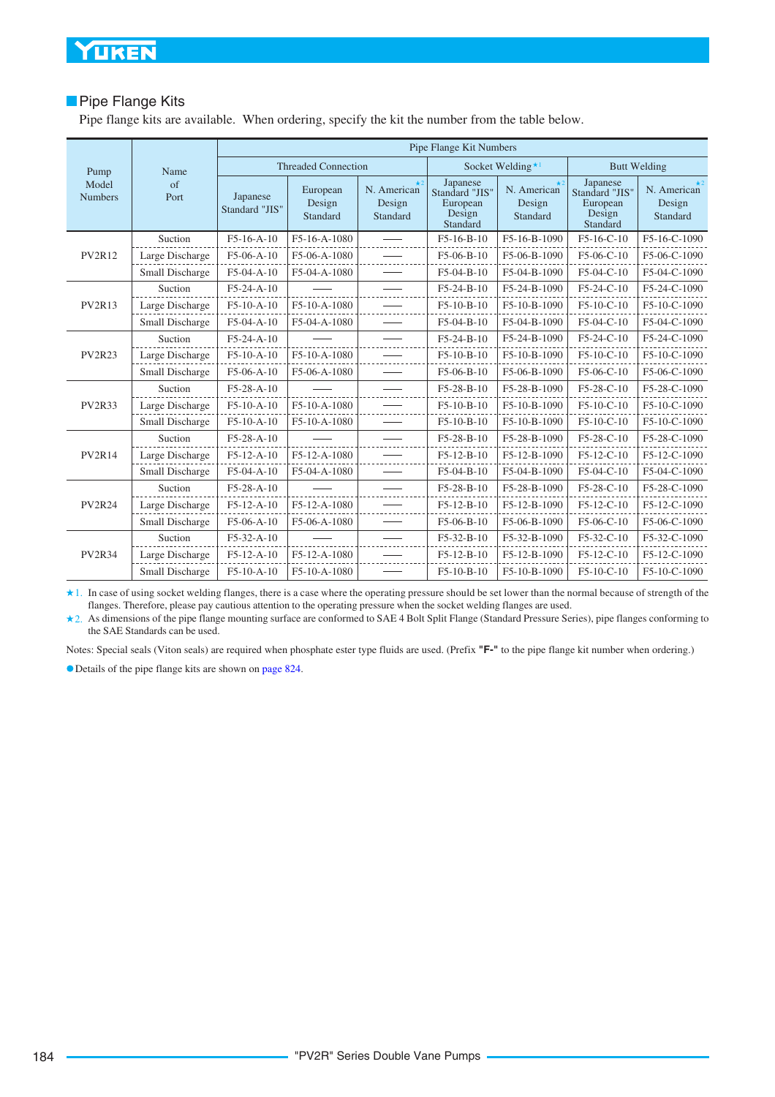#### **Pipe Flange Kits**

Pipe flange kits are available. When ordering, specify the kit the number from the table below.

|                         |                    | Pipe Flange Kit Numbers    |                                |                                                |                                                              |                                                |                                                              |                                                |  |  |
|-------------------------|--------------------|----------------------------|--------------------------------|------------------------------------------------|--------------------------------------------------------------|------------------------------------------------|--------------------------------------------------------------|------------------------------------------------|--|--|
| Pump                    | Name               |                            | <b>Threaded Connection</b>     |                                                |                                                              | Socket Welding <sup>*1</sup>                   |                                                              | <b>Butt Welding</b>                            |  |  |
| Model<br><b>Numbers</b> | $\sigma$ f<br>Port | Japanese<br>Standard "JIS" | European<br>Design<br>Standard | $\star$ 2<br>N. American<br>Design<br>Standard | Japanese<br>Standard "JIS"<br>European<br>Design<br>Standard | $\star$ 2<br>N. American<br>Design<br>Standard | Japanese<br>Standard "JIS"<br>European<br>Design<br>Standard | $\star$ 2<br>N. American<br>Design<br>Standard |  |  |
|                         | Suction            | $F5-16-A-10$               | F5-16-A-1080                   |                                                | F5-16-B-10                                                   | F5-16-B-1090                                   | F5-16-C-10                                                   | F5-16-C-1090                                   |  |  |
| <b>PV2R12</b>           | Large Discharge    | F5-06-A-10                 | F5-06-A-1080                   |                                                | F5-06-B-10                                                   | F5-06-B-1090                                   | F5-06-C-10                                                   | F5-06-C-1090                                   |  |  |
|                         | Small Discharge    | $F5-04-A-10$               | F5-04-A-1080                   |                                                | $F5-04-B-10$                                                 | F5-04-B-1090                                   | $F5-04-C-10$                                                 | F5-04-C-1090                                   |  |  |
|                         | Suction            | F5-24-A-10                 |                                |                                                | F5-24-B-10                                                   | F5-24-B-1090                                   | F5-24-C-10                                                   | F5-24-C-1090                                   |  |  |
| <b>PV2R13</b>           | Large Discharge    | $F5-10-A-10$               | F5-10-A-1080                   |                                                | F5-10-B-10                                                   | F5-10-B-1090                                   | F5-10-C-10                                                   | F5-10-C-1090                                   |  |  |
|                         | Small Discharge    | $F5-04-A-10$               | F5-04-A-1080                   |                                                | $F5-04-B-10$                                                 | F5-04-B-1090                                   | F5-04-C-10                                                   | F5-04-C-1090                                   |  |  |
|                         | Suction            | F5-24-A-10                 |                                |                                                | F5-24-B-10                                                   | F5-24-B-1090                                   | F5-24-C-10                                                   | F5-24-C-1090                                   |  |  |
| <b>PV2R23</b>           | Large Discharge    | $F5-10-A-10$               | F5-10-A-1080                   |                                                | F5-10-B-10                                                   | F5-10-B-1090                                   | F5-10-C-10                                                   | F5-10-C-1090                                   |  |  |
|                         | Small Discharge    | F5-06-A-10                 | F5-06-A-1080                   |                                                | $F5-06-B-10$                                                 | F5-06-B-1090                                   | F5-06-C-10                                                   | F5-06-C-1090                                   |  |  |
|                         | Suction            | F5-28-A-10                 |                                |                                                | F5-28-B-10                                                   | F5-28-B-1090                                   | F5-28-C-10                                                   | F5-28-C-1090                                   |  |  |
| <b>PV2R33</b>           | Large Discharge    | $F5-10-A-10$               | F5-10-A-1080                   |                                                | F5-10-B-10                                                   | F5-10-B-1090                                   | F5-10-C-10                                                   | F5-10-C-1090                                   |  |  |
|                         | Small Discharge    | F5-10-A-10                 | F5-10-A-1080                   |                                                | $F5-10-B-10$                                                 | F5-10-B-1090                                   | $F5-10-C-10$                                                 | F5-10-C-1090                                   |  |  |
|                         | Suction            | F5-28-A-10                 |                                |                                                | F5-28-B-10                                                   | F5-28-B-1090                                   | F5-28-C-10                                                   | F5-28-C-1090                                   |  |  |
| <b>PV2R14</b>           | Large Discharge    | $F5-12-A-10$               | F5-12-A-1080                   |                                                | F5-12-B-10                                                   | F5-12-B-1090                                   | F5-12-C-10                                                   | F5-12-C-1090                                   |  |  |
|                         | Small Discharge    | F5-04-A-10                 | F5-04-A-1080                   |                                                | F5-04-B-10                                                   | F5-04-B-1090                                   | F5-04-C-10                                                   | F5-04-C-1090                                   |  |  |
|                         | Suction            | F5-28-A-10                 |                                |                                                | F5-28-B-10                                                   | F5-28-B-1090                                   | F5-28-C-10                                                   | F5-28-C-1090                                   |  |  |
| <b>PV2R24</b>           | Large Discharge    | $F5-12-A-10$               | F5-12-A-1080                   |                                                | $F5-12-B-10$                                                 | F5-12-B-1090                                   | F5-12-C-10                                                   | F5-12-C-1090                                   |  |  |
|                         | Small Discharge    | $F5-06-A-10$               | F5-06-A-1080                   |                                                | F5-06-B-10                                                   | F5-06-B-1090                                   | F5-06-C-10                                                   | F5-06-C-1090                                   |  |  |
|                         | Suction            | $F5-32-A-10$               |                                |                                                | $F5-32-B-10$                                                 | F5-32-B-1090                                   | F5-32-C-10                                                   | F5-32-C-1090                                   |  |  |
| <b>PV2R34</b>           | Large Discharge    | F5-12-A-10                 | F5-12-A-1080                   |                                                | $F5-12-B-10$                                                 | F5-12-B-1090                                   | F5-12-C-10                                                   | F5-12-C-1090                                   |  |  |
|                         | Small Discharge    | F5-10-A-10                 | F5-10-A-1080                   |                                                | $F5-10-B-10$                                                 | F5-10-B-1090                                   | F5-10-C-10                                                   | F5-10-C-1090                                   |  |  |

In case of using socket welding flanges, there is a case where the operating pressure should be set lower than the normal because of strength of the 1. flanges. Therefore, please pay cautious attention to the operating pressure when the socket welding flanges are used.

2. As dimensions of the pipe flange mounting surface are conformed to SAE 4 Bolt Split Flange (Standard Pressure Series), pipe flanges conforming to the SAE Standards can be used.

Notes: Special seals (Viton seals) are required when phosphate ester type fluids are used. (Prefix **"F-"** to the pipe flange kit number when ordering.)

Details of the pipe flange kits are shown on page 824.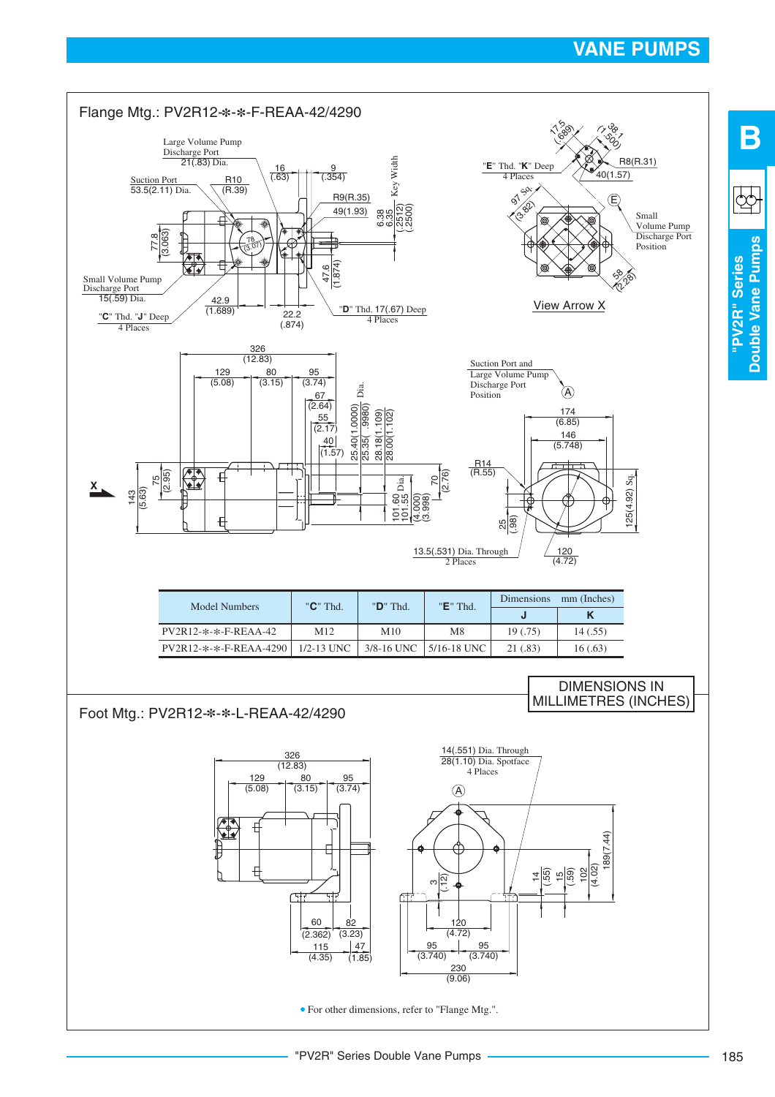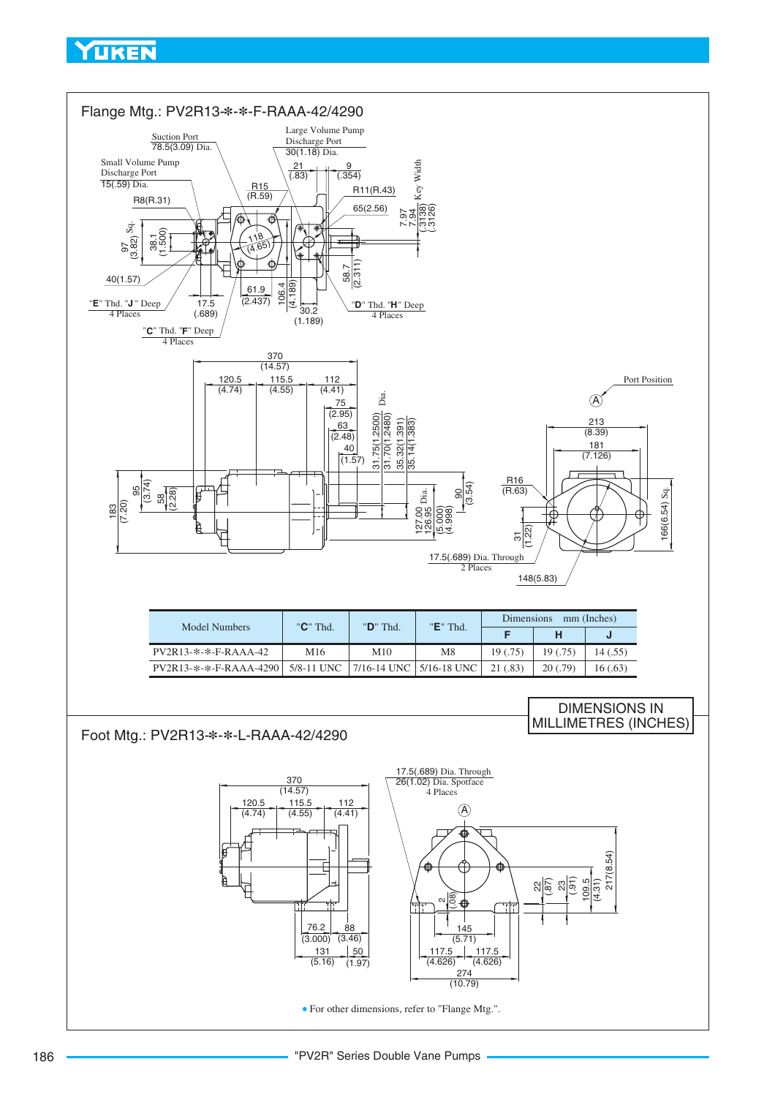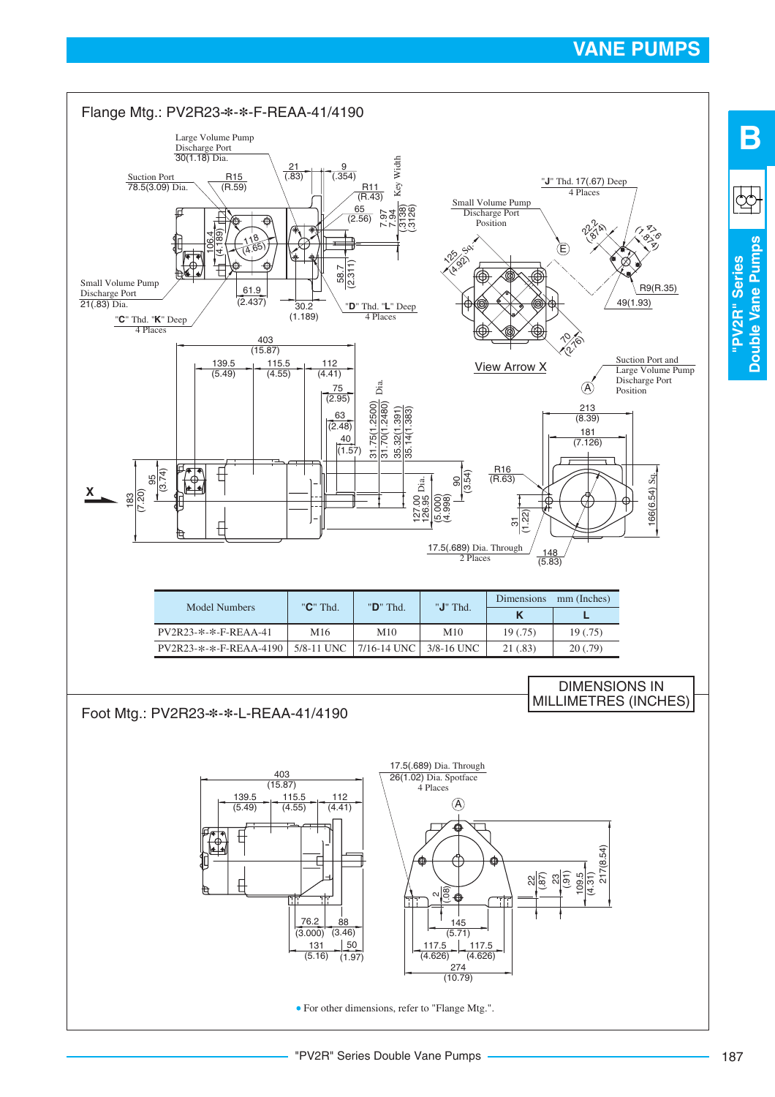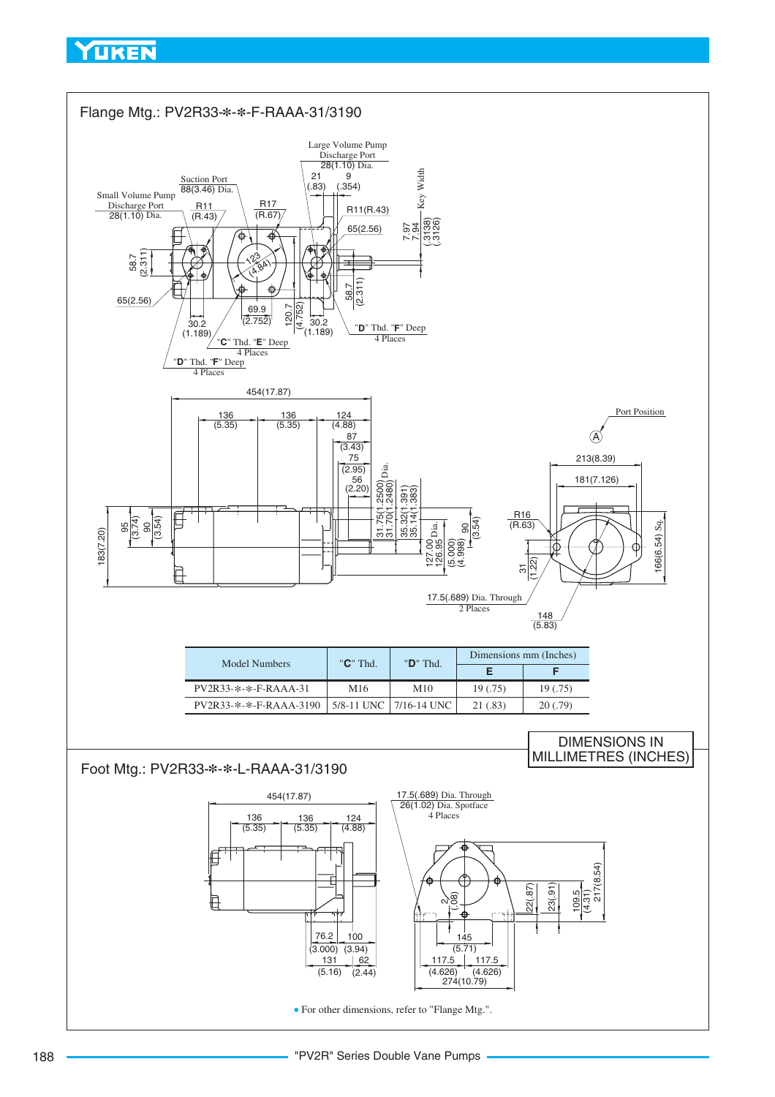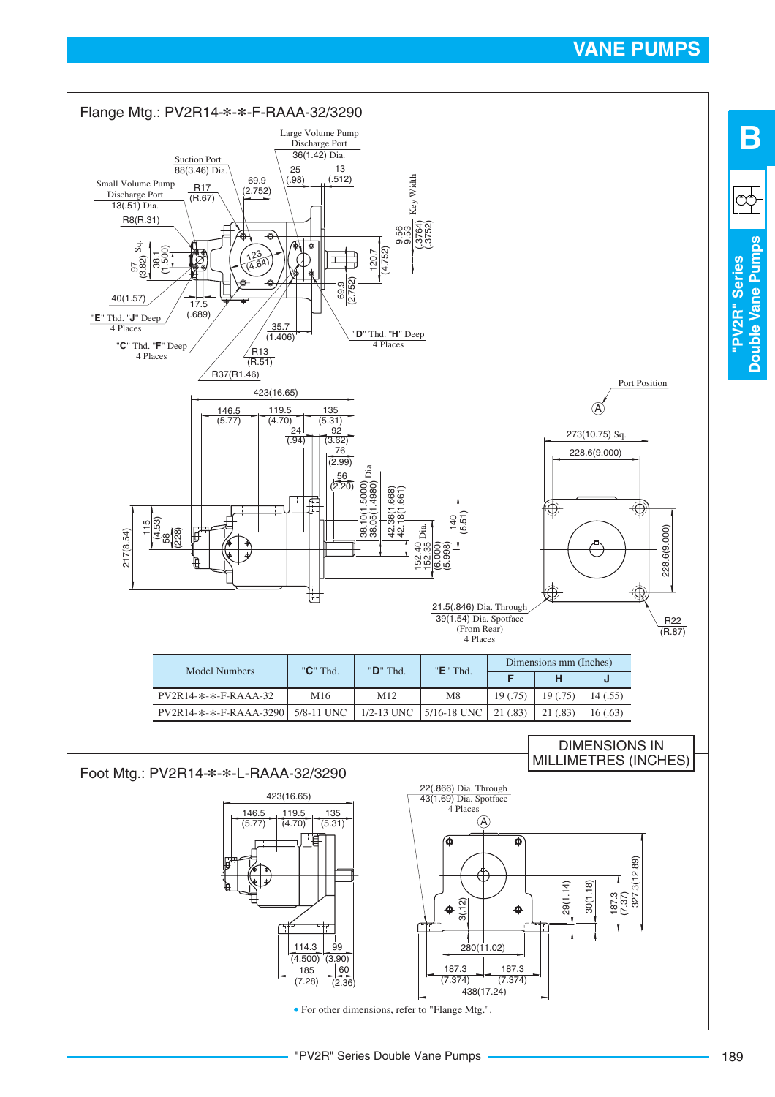**Double Vane Pumps**

Double Vane Pumps

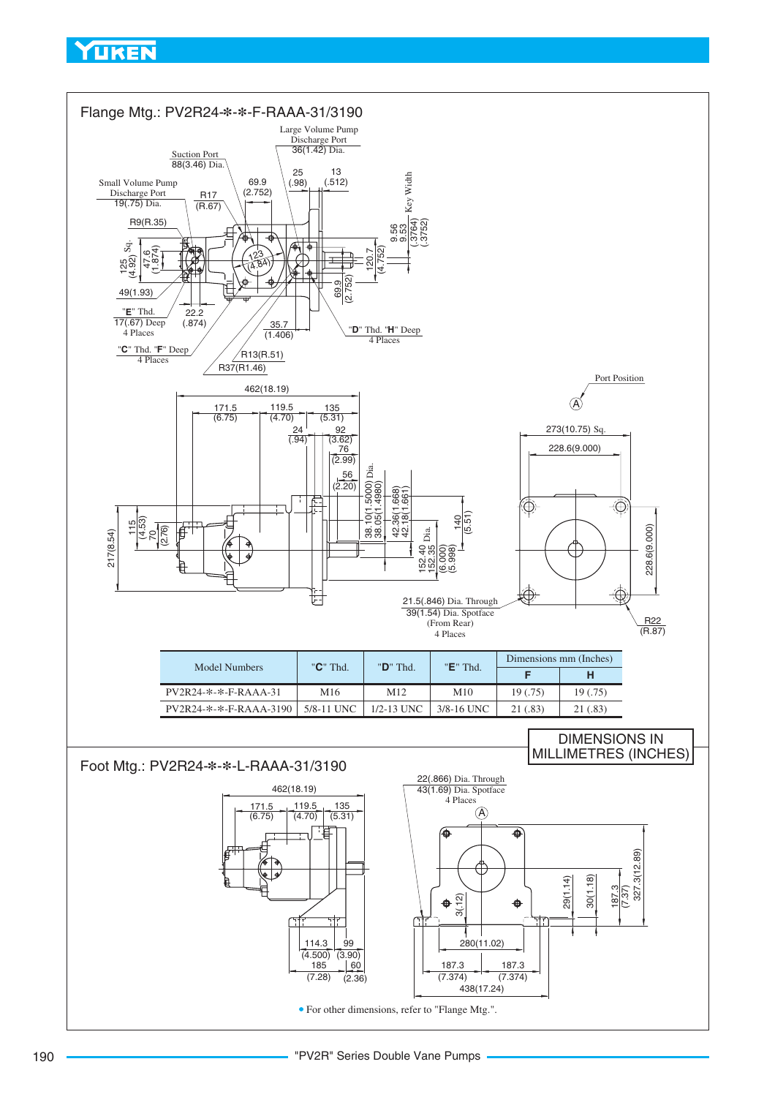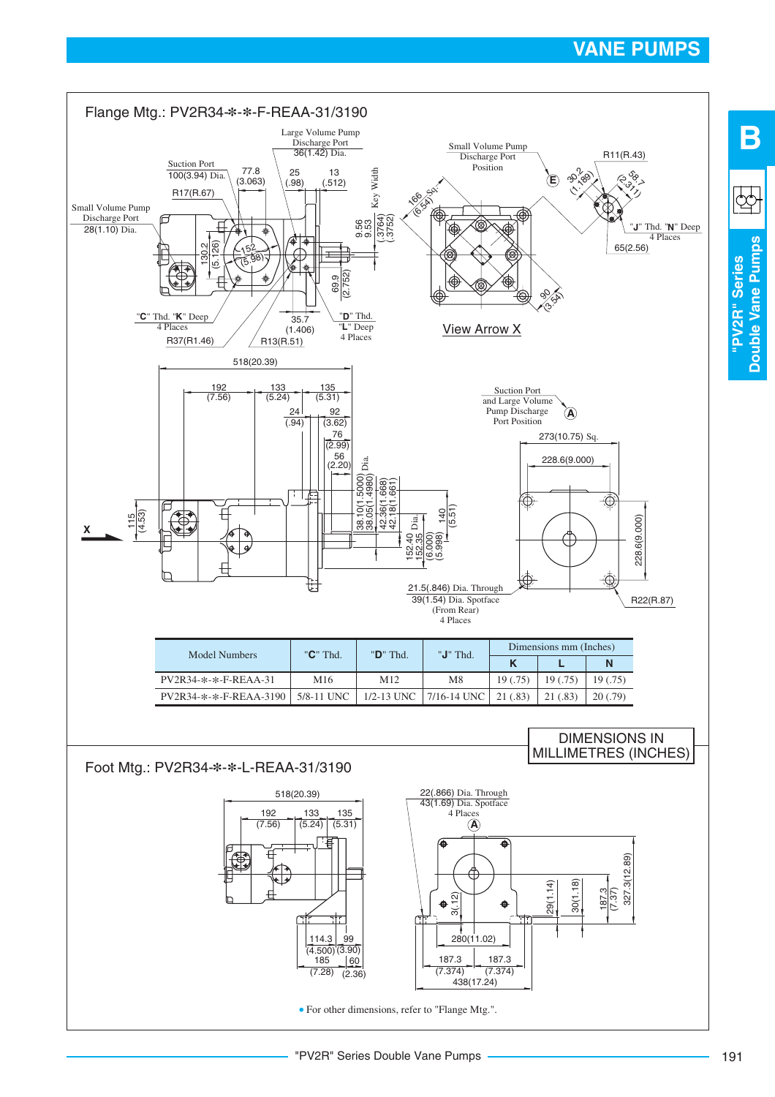**Double Vane Pumps**

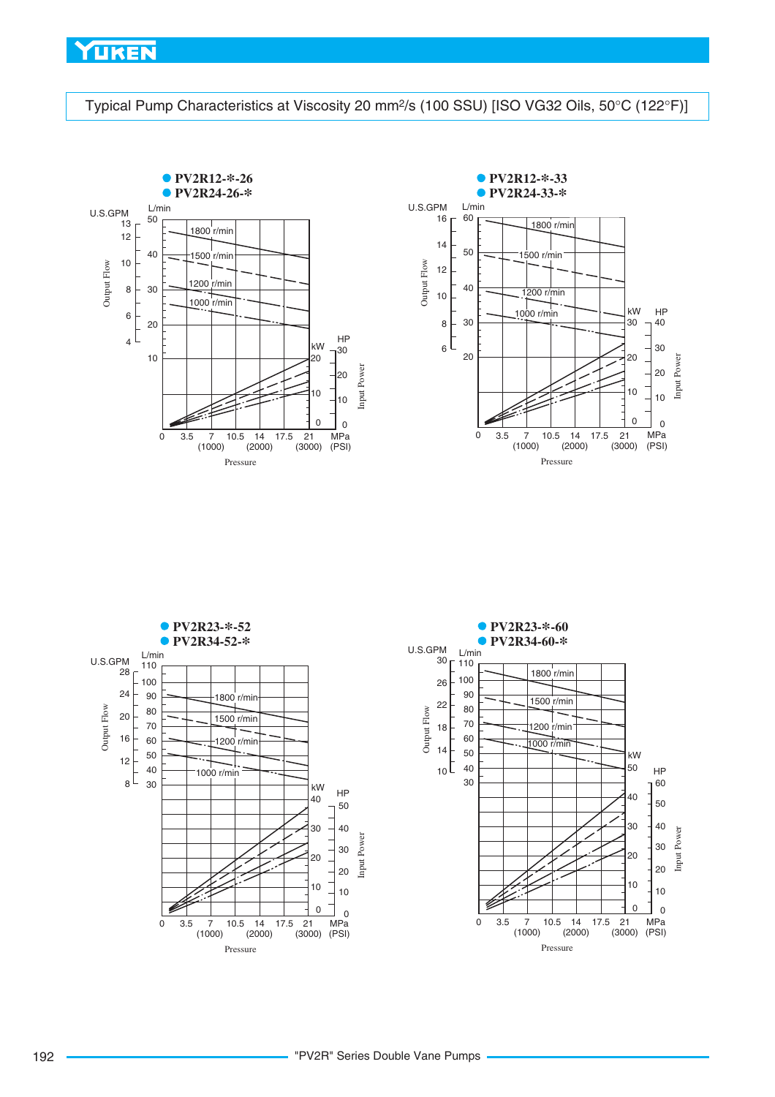<span id="page-33-0"></span>Typical Pump Characteristics at Viscosity 20 mm<sup>2</sup>/s (100 SSU) [ISO VG32 Oils, 50°C (122°F)]





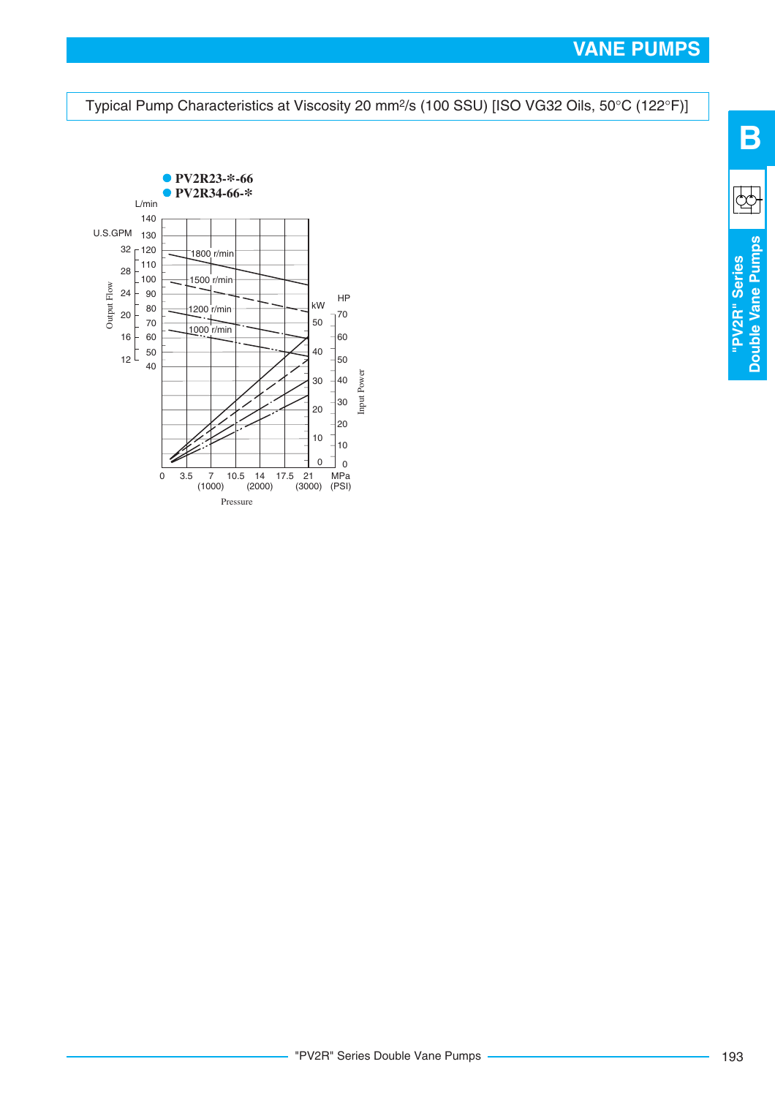<span id="page-34-0"></span>





 $\mathbb{Q}$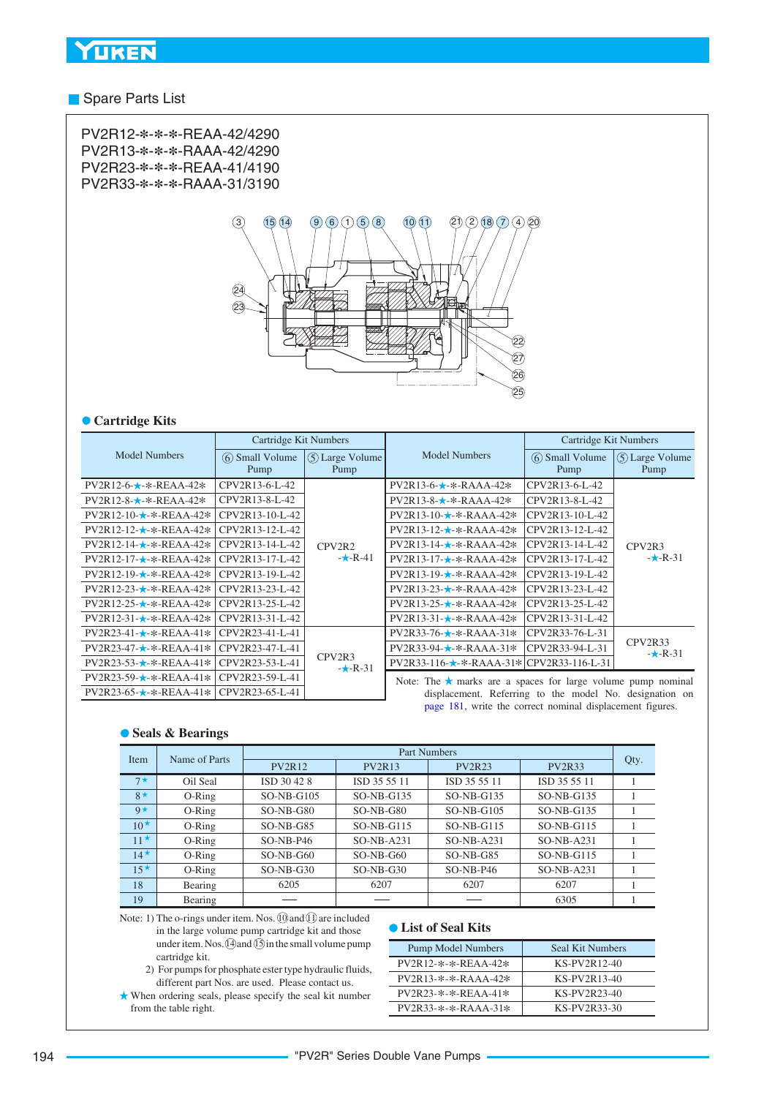#### **Spare Parts List**

PV2R12-**\***-**\***-**\***-REAA-42/4290 PV2R13-**\***-**\***-**\***-RAAA-42/4290 PV2R23-**\***-**\***-**\***-REAA-41/4190 PV2R33-**\***-**\***-**\***-RAAA-31/3190



#### **Cartridge Kits**

|                                                           | Cartridge Kit Numbers  |                                 |                                                                                                                               | Cartridge Kit Numbers    |                                 |  |  |  |  |
|-----------------------------------------------------------|------------------------|---------------------------------|-------------------------------------------------------------------------------------------------------------------------------|--------------------------|---------------------------------|--|--|--|--|
| <b>Model Numbers</b>                                      | 6 Small Volume<br>Pump | 5) Large Volume<br>Pump         | <b>Model Numbers</b>                                                                                                          | (6) Small Volume<br>Pump | (5) Large Volume<br>Pump        |  |  |  |  |
| PV2R12-6-★-*-REAA-42*                                     | CPV2R13-6-L-42         |                                 | $PV2R13-6-$ *-*-RAAA-42*                                                                                                      | CPV2R13-6-L-42           |                                 |  |  |  |  |
|                                                           | CPV2R13-8-L-42         |                                 | $PV2R13-8-$ *-*-RAAA-42*                                                                                                      | CPV2R13-8-L-42           |                                 |  |  |  |  |
| $PV2R12-10 \star$ - $\star$ -REAA-42 $\star$              | CPV2R13-10-L-42        |                                 | $PV2R13-10 \star$ -*-RAAA-42*                                                                                                 | CPV2R13-10-L-42          |                                 |  |  |  |  |
| $PV2R12-12-x-REAA-42*$                                    | CPV2R13-12-L-42        |                                 | $PV2R13-12-x-RAAA-42*$                                                                                                        | CPV2R13-12-L-42          |                                 |  |  |  |  |
| $PV2R12-14-$ *-*-REAA-42*                                 | CPV2R13-14-L-42        | CPV <sub>2</sub> R <sub>2</sub> | $PV2R13-14-$ *-*-RAAA-42*                                                                                                     | CPV2R13-14-L-42          | CPV <sub>2R3</sub><br>$-k-R-31$ |  |  |  |  |
| PV2R12-17-★-*-REAA-42*                                    | CPV2R13-17-L-42        | $-k-R-41$                       | $PV2R13-17 \star$ -*-RAAA-42*                                                                                                 | CPV2R13-17-L-42          |                                 |  |  |  |  |
| $PV2R12-19 \star$ - $\star$ -REAA-42 $\star$              | CPV2R13-19-L-42        |                                 | $PV2R13-19-x-RAAA-42*$                                                                                                        | CPV2R13-19-L-42          |                                 |  |  |  |  |
| $PV2R12-23-x-REAA-42*$                                    | CPV2R13-23-L-42        |                                 | $PV2R13-23-x-RAAA-42*$                                                                                                        | CPV2R13-23-L-42          |                                 |  |  |  |  |
| $PV2R12-25 - \star -$ *-REAA-42*                          | CPV2R13-25-L-42        |                                 | $PV2R13-25 - \star -$ *-RAAA-42*                                                                                              | CPV2R13-25-L-42          |                                 |  |  |  |  |
| $PV2R12-31 - \star -$ *-REAA-42*                          | CPV2R13-31-L-42        |                                 | $PV2R13-31-$ *-*-RAAA-42*                                                                                                     | CPV2R13-31-L-42          |                                 |  |  |  |  |
| $PV2R23-41-\star-\&-REAA-41*$                             | CPV2R23-41-L-41        |                                 | $PV2R33-76-\star-\&-RAAA-31*$                                                                                                 | CPV2R33-76-L-31          |                                 |  |  |  |  |
| $PV2R23-47-\star-\&REAA-41*$                              | CPV2R23-47-L-41        |                                 | $PV2R33-94-$ *-*-RAAA-31*                                                                                                     | CPV2R33-94-L-31          | CPV2R33<br>$-k-R-31$            |  |  |  |  |
| $PV2R23-53-$ *-*-REAA-41*                                 | CPV2R23-53-L-41        | CPV <sub>2R3</sub><br>$-k-R-31$ | PV2R33-116-★-*-RAAA-31* CPV2R33-116-L-31                                                                                      |                          |                                 |  |  |  |  |
| $PV2R23-59 \star$ -*-REAA-41*                             | CPV2R23-59-L-41        |                                 |                                                                                                                               |                          |                                 |  |  |  |  |
| $PV2R23-65-\star-\&REAA-41*$                              | CPV2R23-65-L-41        |                                 | Note: The $\star$ marks are a spaces for large volume pump nominal<br>displacement. Referring to the model No. designation on |                          |                                 |  |  |  |  |
| page 181, write the correct nominal displacement figures. |                        |                                 |                                                                                                                               |                          |                                 |  |  |  |  |

#### **Seals & Bearings**

| Item         | Name of Parts | Part Numbers  |               |               |               |      |  |  |  |
|--------------|---------------|---------------|---------------|---------------|---------------|------|--|--|--|
|              |               | <b>PV2R12</b> | <b>PV2R13</b> | <b>PV2R23</b> | <b>PV2R33</b> | Qty. |  |  |  |
| $7\star$     | Oil Seal      | ISD 30 42 8   | ISD 35 55 11  | ISD 35 55 11  | ISD 35 55 11  |      |  |  |  |
| $8*$         | $O-Ring$      | $SO-NB-G105$  | $SO-NB-G135$  | $SO-NB-G135$  | $SO-NB-G135$  |      |  |  |  |
| $Q \star$    | $O-Ring$      | $SO-NB-G80$   | $SO-NB-G80$   | $SO-NB-G105$  | $SO-NB-G135$  |      |  |  |  |
| $10^{\star}$ | $O-Ring$      | $SO-NB-G85$   | $SO-NB-G115$  | $SO-NB-G115$  | $SO-NB-G115$  |      |  |  |  |
| $11^{\star}$ | $O-Ring$      | $SO-NB- P46$  | $SO-NB- A231$ | $SO-NB-A231$  | $SO-NB- A231$ |      |  |  |  |
| $14^{\star}$ | $O-Ring$      | $SO-NB-G60$   | $SO-NB-G60$   | $SO-NB-G85$   | $SO-NB-G115$  |      |  |  |  |
| $15^{\star}$ | $O-Ring$      | $SO-NB-G30$   | $SO-NB-G30$   | $SO-NB-P46$   | $SO-NB-A231$  |      |  |  |  |
| 18           | Bearing       | 6205          | 6207          | 6207          | 6207          |      |  |  |  |
| 19           | Bearing       |               |               |               | 6305          |      |  |  |  |

Note: 1) The o-rings under item. Nos. *O* and *O* are included in the large volume pump cartridge kit and those under item. Nos.  $(1)$  and  $(1)$  in the small volume pump cartridge kit.

- 2) For pumps for phosphate ester type hydraulic fluids, different part Nos. are used. Please contact us.
- When ordering seals, please specify the seal kit number from the table right.

#### **List of Seal Kits**

| <b>Pump Model Numbers</b> | Seal Kit Numbers |
|---------------------------|------------------|
| PV2R12-*-*-REAA-42*       | KS-PV2R12-40     |
| $PV2R13-*-*.RAAA-42*$     | KS-PV2R13-40     |
| $PV2R23-*-*-REAA-41*$     | KS-PV2R23-40     |
| PV2R33-*-*-RAAA-31*       | KS-PV2R33-30     |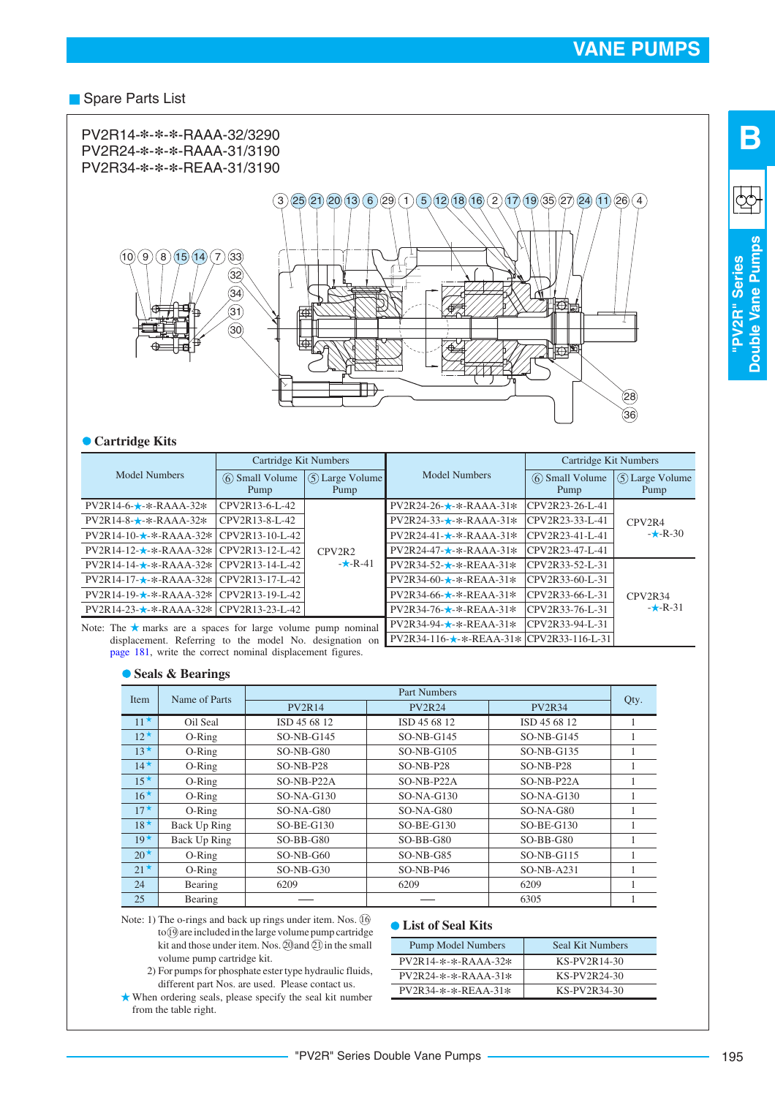#### Spare Parts List



#### **Cartridge Kits**

|                                                                    | Cartridge Kit Numbers  |                        |                               | Cartridge Kit Numbers  |                        |  |
|--------------------------------------------------------------------|------------------------|------------------------|-------------------------------|------------------------|------------------------|--|
| Model Numbers                                                      | 6 Small Volume<br>Pump | 5 Large Volume<br>Pump | <b>Model Numbers</b>          | 6 Small Volume<br>Pump | 5 Large Volume<br>Pump |  |
| $PV2R14-6 \star$ - $\star$ -RAAA-32 $\star$                        | CPV2R13-6-L-42         |                        | $PV2R24-26-\star-\&-RAAA-31*$ | CPV2R23-26-L-41        |                        |  |
| $PV2R14-8-$ *-*-RAAA-32*                                           | CPV2R13-8-L-42         |                        | $PV2R24-33-x-RAAA-31*$        | CPV2R23-33-L-41        | CPV <sub>2R4</sub>     |  |
| $PV2R14-10-1.7-1.4-RAAA-32*$                                       | CPV2R13-10-L-42        |                        | $PV2R24-41-\star-\&-RAAA-31*$ | CPV2R23-41-L-41        | $-k-R-30$              |  |
| $PV2R14-12-\star-\&-RAAA-32*$                                      | CPV2R13-12-L-42        | CPV2R2                 | $PV2R24-47-\star-\&-RAAA-31*$ | CPV2R23-47-L-41        |                        |  |
| $PV2R14-14-x-RAAA-32*$                                             | CPV2R13-14-L-42        | $-k-R-41$              | $PV2R34-52-\star-\&-REAA-31*$ | CPV2R33-52-L-31        |                        |  |
| $PV2R14-17 \star$ -*-RAAA-32*                                      | CPV2R13-17-L-42        |                        | $PV2R34-60-$ * - * - REAA-31* | CPV2R33-60-L-31        |                        |  |
| $PV2R14-19-$ *-*-RAAA-32*                                          | CPV2R13-19-L-42        |                        | $PV2R34-66-\star-\&REAA-31*$  | CPV2R33-66-L-31        | CPV2R34                |  |
| $PV2R14-23-\star-RAAA-32* CPV2R13-23-L-42$                         |                        |                        | $PV2R34-76-\star-\&-REAA-31*$ | CPV2R33-76-L-31        | $-k-R-31$              |  |
| Note: The $\star$ marks are a spaces for large volume pump nominal |                        |                        | $PV2R34-94-x-REAA-31*$        | CPV2R33-94-L-31        |                        |  |

displacement. Referring to the model No. designation on  $PV2R34-116 \star$ - $\star$ -REAA-31 $\star$  CPV2R33-116-L-31 Note: The  $\star$  marks are a spaces for large volume pump nominal [page 181](#page-22-0), write the correct nominal displacement figures.

#### **Seals & Bearings**

| Item         | Name of Parts |               | Part Numbers  |              |   |  |  |  |
|--------------|---------------|---------------|---------------|--------------|---|--|--|--|
|              | <b>PV2R14</b> | <b>PV2R24</b> | <b>PV2R34</b> | Qty.         |   |  |  |  |
| $11^{\star}$ | Oil Seal      | ISD 45 68 12  | ISD 45 68 12  | ISD 45 68 12 | 1 |  |  |  |
| $12^{\star}$ | $O-Ring$      | $SO-NB-G145$  | $SO-NB-G145$  | $SO-NB-G145$ |   |  |  |  |
| $13*$        | $O-Ring$      | $SO-NB-G80$   | $SO-NB-G105$  | $SO-NB-G135$ |   |  |  |  |
| $14*$        | $O-Ring$      | $SO-NB- P28$  | $SO-NB- P28$  | $SO-NB- P28$ |   |  |  |  |
| $15^{\star}$ | $O-Ring$      | SO-NB-P22A    | SO-NB-P22A    | SO-NB-P22A   |   |  |  |  |
| $16*$        | O-Ring        | $SO-NA-G130$  | $SO-NA-G130$  | $SO-NA-G130$ |   |  |  |  |
| $17^{\star}$ | $O-Ring$      | $SO-NA-G80$   | $SO-NA-G80$   | $SO-NA-G80$  |   |  |  |  |
| $18*$        | Back Up Ring  | $SO-BE-G130$  | $SO-BE-G130$  | $SO-BE-G130$ |   |  |  |  |
| $19*$        | Back Up Ring  | $SO-BB-G80$   | $SO-BB-G80$   | $SO-BB-G80$  |   |  |  |  |
| $20^{\star}$ | $O-Ring$      | $SO-NB-G60$   | $SO-NB-G85$   | $SO-NB-G115$ |   |  |  |  |
| $21^{\star}$ | $O-Ring$      | $SO-NB-G30$   | $SO-NB-P46$   | $SO-NB-A231$ |   |  |  |  |
| 24           | Bearing       | 6209          | 6209          | 6209         |   |  |  |  |
| 25           | Bearing       |               |               | 6305         |   |  |  |  |

Note: 1) The o-rings and back up rings under item. Nos. 16 to (19) are included in the large volume pump cartridge kit and those under item. Nos.  $\textcircled{20}$  and  $\textcircled{11}$  in the small volume pump cartridge kit.

- 2) For pumps for phosphate ester type hydraulic fluids, different part Nos. are used. Please contact us.
- When ordering seals, please specify the seal kit number from the table right.

#### **List of Seal Kits**

| <b>Pump Model Numbers</b> | Seal Kit Numbers |
|---------------------------|------------------|
| $PV2R14-x-x-RAAA-32*$     | KS-PV2R14-30     |
| $PV2R24-*-*.RAAA-31*$     | KS-PV2R24-30     |
| PV2R34-*-*-REAA-31*       | KS-PV2R34-30     |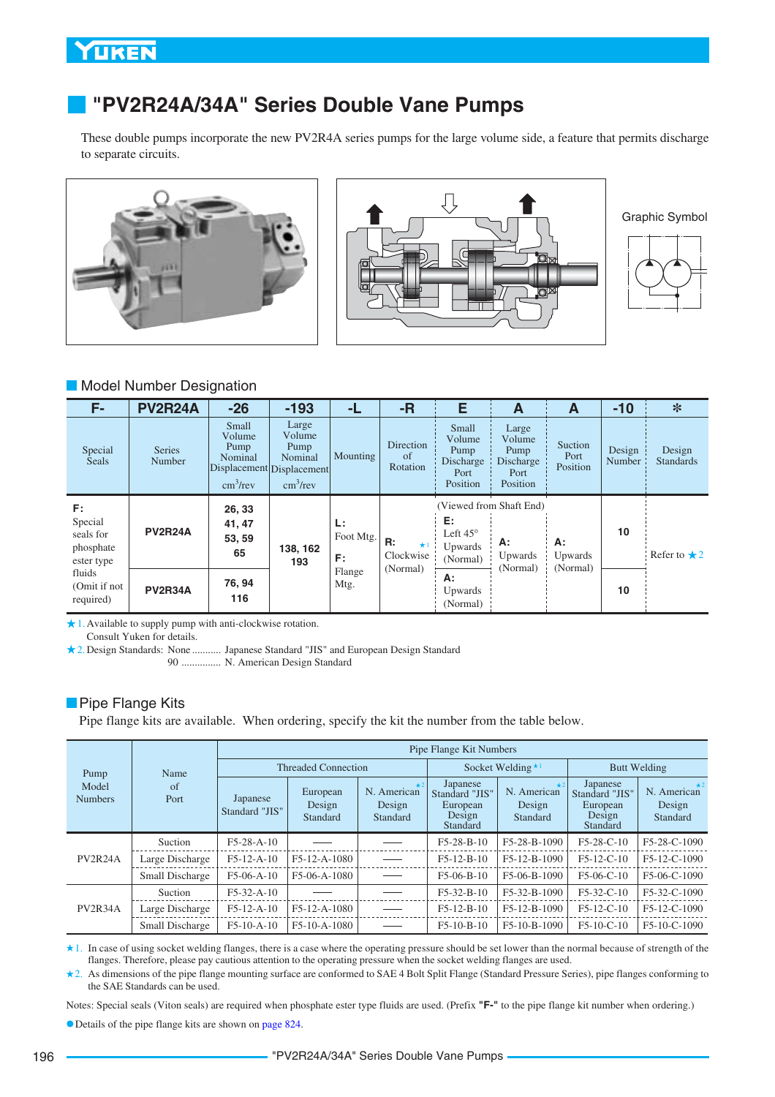# <span id="page-37-0"></span>**"PV2R24A/34A" Series Double Vane Pumps**

These double pumps incorporate the new PV2R4A series pumps for the large volume side, a feature that permits discharge to separate circuits.



Graphic Symbol



#### **Model Number Designation**

| F-                                                                                           | <b>PV2R24A</b>                                     | $-26$                                                                 | $-193$                                                                                      | -L             | -R                                       | E                                                        | A                                                                                                                                 | A                           | $-10$            | *                          |
|----------------------------------------------------------------------------------------------|----------------------------------------------------|-----------------------------------------------------------------------|---------------------------------------------------------------------------------------------|----------------|------------------------------------------|----------------------------------------------------------|-----------------------------------------------------------------------------------------------------------------------------------|-----------------------------|------------------|----------------------------|
| Special<br><b>Seals</b>                                                                      | <b>Series</b><br>Number                            | <b>Small</b><br>Volume<br>Pump<br>Nominal<br>$\text{cm}^3/\text{rev}$ | Large<br>Volume<br>Pump<br>Nominal<br>Displacement Displacement<br>$\text{cm}^3/\text{rev}$ | Mounting       | Direction<br>of<br>Rotation              | Small<br>Volume<br>Pump<br>Discharge<br>Port<br>Position | Large<br>Volume<br>Pump<br>Discharge<br>Port<br>Position                                                                          | Suction<br>Port<br>Position | Design<br>Number | Design<br><b>Standards</b> |
| F:<br>Special<br>seals for<br>phosphate<br>ester type<br>fluids<br>(Omit if not<br>required) | 26, 33<br>41, 47<br><b>PV2R24A</b><br>53, 59<br>65 |                                                                       | L:<br>138, 162<br>F:<br>193                                                                 | Foot Mtg.      | R:<br>$\star$ 1<br>Clockwise<br>(Normal) |                                                          | (Viewed from Shaft End)<br>E:<br>Left $45^\circ$<br>А:<br>А:<br>Upwards<br>Upwards<br>Upwards<br>(Normal)<br>(Normal)<br>(Normal) |                             | 10               | Refer to $\star$ 2         |
|                                                                                              | <b>PV2R34A</b>                                     | 76, 94<br>116                                                         |                                                                                             | Flange<br>Mtg. |                                          | А:<br>Upwards<br>(Normal)                                |                                                                                                                                   |                             | 10               |                            |

1. Available to supply pump with anti-clockwise rotation.

Consult Yuken for details.

2. Design Standards: None ........... Japanese Standard "JIS" and European Design Standard

90 N. American Design Standard ...............

#### **Pipe Flange Kits**

Pipe flange kits are available. When ordering, specify the kit the number from the table below.

| Pump<br>Model<br><b>Numbers</b> |                 | Pipe Flange Kit Numbers    |                                |                                   |                                                              |                                     |                                                              |                                   |  |  |
|---------------------------------|-----------------|----------------------------|--------------------------------|-----------------------------------|--------------------------------------------------------------|-------------------------------------|--------------------------------------------------------------|-----------------------------------|--|--|
|                                 | Name            |                            | <b>Threaded Connection</b>     |                                   |                                                              | Socket Welding $\star$ <sup>1</sup> | <b>Butt Welding</b>                                          |                                   |  |  |
|                                 | of<br>Port      | Japanese<br>Standard "JIS" | European<br>Design<br>Standard | N. American<br>Design<br>Standard | Japanese<br>Standard "JIS"<br>European<br>Design<br>Standard | N. American<br>Design<br>Standard   | Japanese<br>Standard "JIS"<br>European<br>Design<br>Standard | N. American<br>Design<br>Standard |  |  |
|                                 | Suction         | $F5-28-A-10$               |                                |                                   | $F5-28-B-10$                                                 | F5-28-B-1090                        | F5-28-C-10                                                   | F5-28-C-1090                      |  |  |
| PV2R24A                         | Large Discharge | $F5-12-A-10$               | $F5-12-A-1080$                 |                                   | $F5-12-B-10$                                                 | F5-12-B-1090                        | $F5-12-C-10$                                                 | F5-12-C-1090                      |  |  |
|                                 | Small Discharge | $F5-06-A-10$               | F5-06-A-1080                   |                                   | $F5-06-B-10$                                                 | F5-06-B-1090                        | $F5-06-C-10$                                                 | F5-06-C-1090                      |  |  |
| PV2R34A                         | Suction         | $F5-32-A-10$               |                                |                                   | $F5-32-B-10$                                                 | F5-32-B-1090                        | $F5-32-C-10$                                                 | F5-32-C-1090                      |  |  |
|                                 | Large Discharge | $F5-12-A-10$               | F5-12-A-1080                   |                                   | $F5-12-B-10$                                                 | F5-12-B-1090                        | $F5-12-C-10$                                                 | F5-12-C-1090                      |  |  |
|                                 | Small Discharge | $F5-10-A-10$               | F5-10-A-1080                   |                                   | $F5-10-B-10$                                                 | F5-10-B-1090                        | $F5-10-C-10$                                                 | F5-10-C-1090                      |  |  |

In case of using socket welding flanges, there is a case where the operating pressure should be set lower than the normal because of strength of the 1. flanges. Therefore, please pay cautious attention to the operating pressure when the socket welding flanges are used.

2. As dimensions of the pipe flange mounting surface are conformed to SAE 4 Bolt Split Flange (Standard Pressure Series), pipe flanges conforming to the SAE Standards can be used.

Notes: Special seals (Viton seals) are required when phosphate ester type fluids are used. (Prefix **"F-"** to the pipe flange kit number when ordering.)

Details of the pipe flange kits are shown on page 824.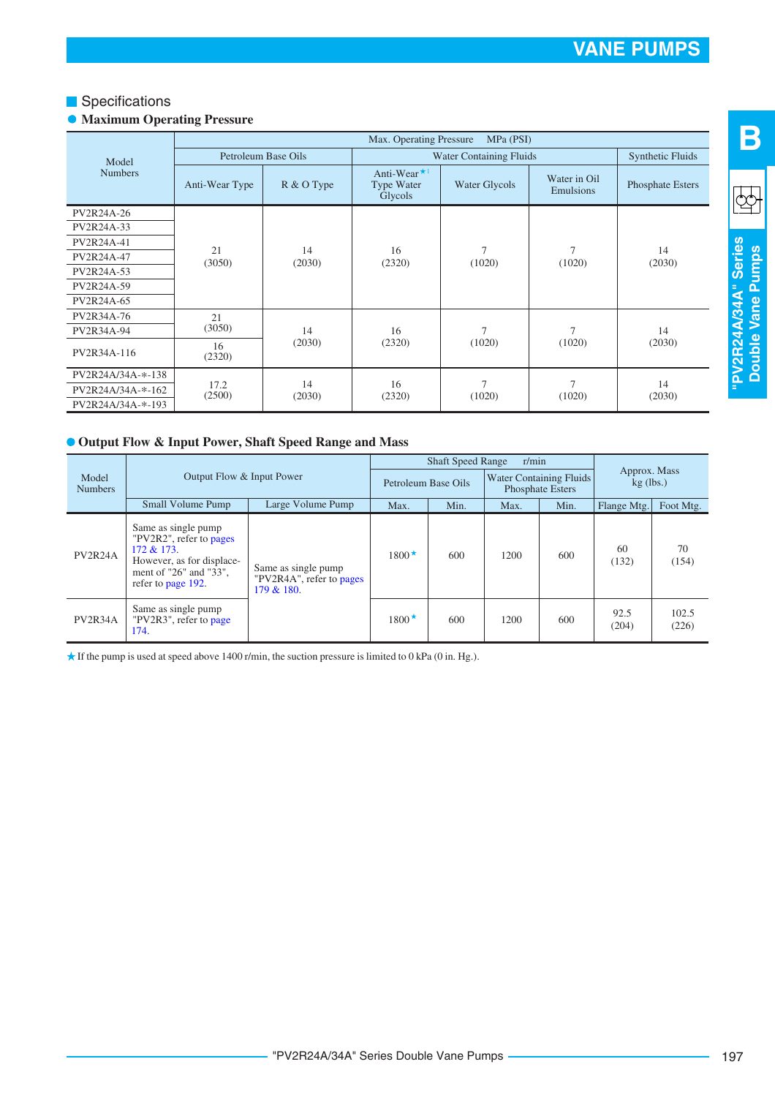#### **Specifications**

#### **• Maximum Operating Pressure**

|                         | Max. Operating Pressure<br>MPa (PSI) |                                |                                                                |                          |                           |                  |
|-------------------------|--------------------------------------|--------------------------------|----------------------------------------------------------------|--------------------------|---------------------------|------------------|
| Model<br><b>Numbers</b> | Petroleum Base Oils                  |                                | <b>Water Containing Fluids</b>                                 | <b>Synthetic Fluids</b>  |                           |                  |
|                         | Anti-Wear Type                       | R & O Type                     | Anti-Wear $\star$ <sup>1</sup><br><b>Type Water</b><br>Glycols | Water Glycols            | Water in Oil<br>Emulsions | Phosphate Esters |
| PV2R24A-26              |                                      |                                |                                                                |                          |                           |                  |
| PV2R24A-33              | 21<br>(3050)                         | 14<br>(2030)                   | 16<br>(2320)                                                   | 7<br>(1020)              | $\overline{7}$<br>(1020)  | 14<br>(2030)     |
| PV2R24A-41              |                                      |                                |                                                                |                          |                           |                  |
| PV2R24A-47              |                                      |                                |                                                                |                          |                           |                  |
| PV2R24A-53              |                                      |                                |                                                                |                          |                           |                  |
| PV2R24A-59              |                                      |                                |                                                                |                          |                           |                  |
| PV2R24A-65              |                                      |                                |                                                                |                          |                           |                  |
| PV2R34A-76              | 21                                   |                                |                                                                |                          |                           |                  |
| PV2R34A-94              | (3050)                               | 14                             | 16<br>(2320)                                                   | 7<br>(1020)              | $\overline{7}$<br>(1020)  | 14<br>(2030)     |
| PV2R34A-116             | 16<br>(2320)                         | (2030)                         |                                                                |                          |                           |                  |
| PV2R24A/34A-*-138       |                                      | 14<br>17.2<br>(2500)<br>(2030) | 16<br>(2320)                                                   | $\overline{7}$<br>(1020) | $\overline{7}$<br>(1020)  | 14<br>(2030)     |
| PV2R24A/34A-*-162       |                                      |                                |                                                                |                          |                           |                  |
| PV2R24A/34A-*-193       |                                      |                                |                                                                |                          |                           |                  |

#### **Output Flow & Input Power, Shaft Speed Range and Mass**

|                                                      |                                                                                                                                              |                                                               |                     | r/min<br><b>Shaft Speed Range</b> |                                                    |      |                             |                |  |
|------------------------------------------------------|----------------------------------------------------------------------------------------------------------------------------------------------|---------------------------------------------------------------|---------------------|-----------------------------------|----------------------------------------------------|------|-----------------------------|----------------|--|
| Output Flow & Input Power<br>Model<br><b>Numbers</b> |                                                                                                                                              |                                                               | Petroleum Base Oils |                                   | <b>Water Containing Fluids</b><br>Phosphate Esters |      | Approx. Mass<br>$kg$ (lbs.) |                |  |
|                                                      | Small Volume Pump                                                                                                                            | Large Volume Pump                                             | Max.                | Min.                              | Max.                                               | Min. | Flange Mtg.                 | Foot Mtg.      |  |
| PV2R24A                                              | Same as single pump<br>"PV2R2", refer to pages<br>$172 & 173$ .<br>However, as for displace-<br>ment of "26" and "33",<br>refer to page 192. | Same as single pump<br>"PV2R4A", refer to pages<br>179 & 180. | $1800 \star$        | 600                               | 1200                                               | 600  | 60<br>(132)                 | 70<br>(154)    |  |
| PV <sub>2</sub> R <sub>34</sub> A                    | Same as single pump<br>"PV2R3", refer to page<br>174.                                                                                        |                                                               | $1800*$             | 600                               | 1200                                               | 600  | 92.5<br>(204)               | 102.5<br>(226) |  |

 $\star$  If the pump is used at speed above 1400 r/min, the suction pressure is limited to 0 kPa (0 in. Hg.).

**B**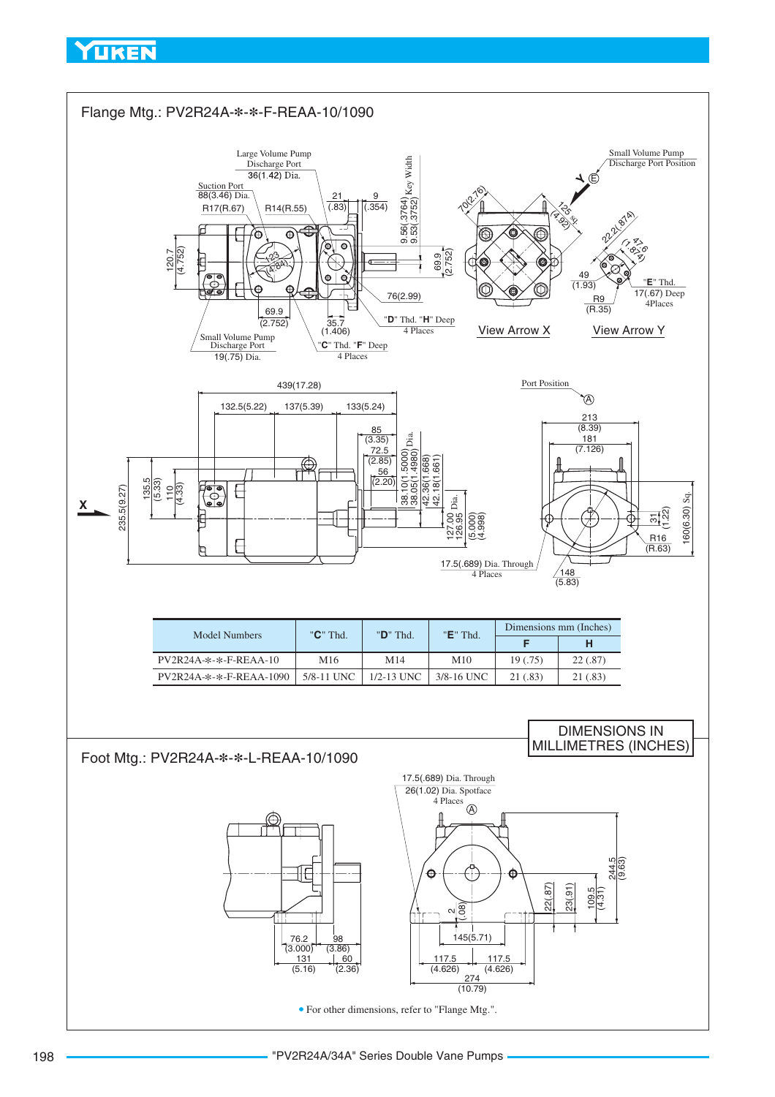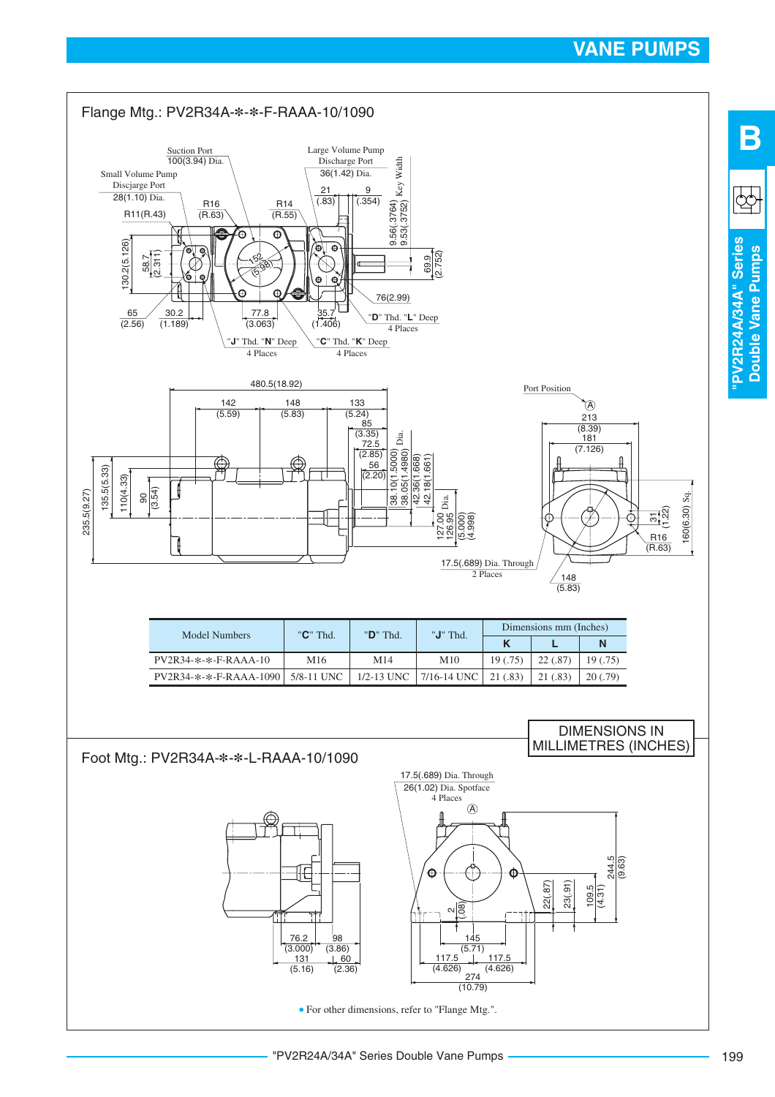

**Double Vane Pumps**